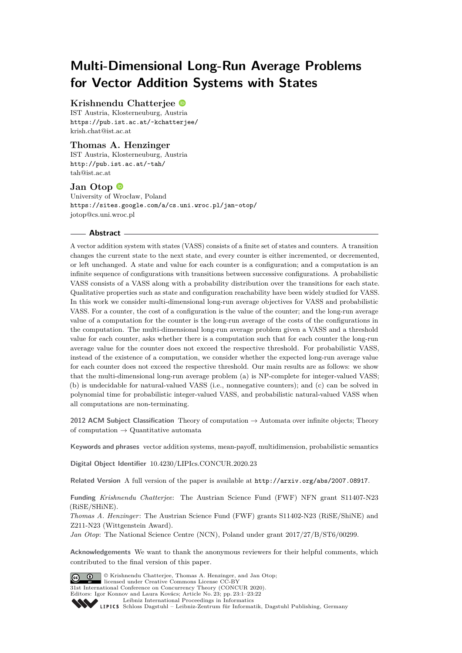# **Multi-Dimensional Long-Run Average Problems for Vector Addition Systems with States**

# **Krishnendu Chatterjee**

IST Austria, Klosterneuburg, Austria <https://pub.ist.ac.at/~kchatterjee/> [krish.chat@ist.ac.at](mailto:krish.chat@ist.ac.at)

# **Thomas A. Henzinger**

IST Austria, Klosterneuburg, Austria <http://pub.ist.ac.at/~tah/> [tah@ist.ac.at](mailto:tah@ist.ac.at)

# **Jan Otop**

University of Wrocław, Poland <https://sites.google.com/a/cs.uni.wroc.pl/jan-otop/> [jotop@cs.uni.wroc.pl](mailto:jotop@cs.uni.wroc.pl)

# **Abstract**

A vector addition system with states (VASS) consists of a finite set of states and counters. A transition changes the current state to the next state, and every counter is either incremented, or decremented, or left unchanged. A state and value for each counter is a configuration; and a computation is an infinite sequence of configurations with transitions between successive configurations. A probabilistic VASS consists of a VASS along with a probability distribution over the transitions for each state. Qualitative properties such as state and configuration reachability have been widely studied for VASS. In this work we consider multi-dimensional long-run average objectives for VASS and probabilistic VASS. For a counter, the cost of a configuration is the value of the counter; and the long-run average value of a computation for the counter is the long-run average of the costs of the configurations in the computation. The multi-dimensional long-run average problem given a VASS and a threshold value for each counter, asks whether there is a computation such that for each counter the long-run average value for the counter does not exceed the respective threshold. For probabilistic VASS, instead of the existence of a computation, we consider whether the expected long-run average value for each counter does not exceed the respective threshold. Our main results are as follows: we show that the multi-dimensional long-run average problem (a) is NP-complete for integer-valued VASS; (b) is undecidable for natural-valued VASS (i.e., nonnegative counters); and (c) can be solved in polynomial time for probabilistic integer-valued VASS, and probabilistic natural-valued VASS when all computations are non-terminating.

**2012 ACM Subject Classification** Theory of computation → Automata over infinite objects; Theory of computation  $\rightarrow$  Quantitative automata

**Keywords and phrases** vector addition systems, mean-payoff, multidimension, probabilistic semantics

**Digital Object Identifier** [10.4230/LIPIcs.CONCUR.2020.23](https://doi.org/10.4230/LIPIcs.CONCUR.2020.23)

**Related Version** A full version of the paper is available at <http://arxiv.org/abs/2007.08917>.

**Funding** *Krishnendu Chatterjee*: The Austrian Science Fund (FWF) NFN grant S11407-N23 (RiSE/SHiNE).

*Thomas A. Henzinger*: The Austrian Science Fund (FWF) grants S11402-N23 (RiSE/ShiNE) and Z211-N23 (Wittgenstein Award).

*Jan Otop*: The National Science Centre (NCN), Poland under grant  $2017/27/B/ST6/00299$ .

**Acknowledgements** We want to thank the anonymous reviewers for their helpful comments, which contributed to the final version of this paper.



© Krishnendu Chatterjee, Thomas A. Henzinger, and Jan Otop; licensed under Creative Commons License CC-BY 31st International Conference on Concurrency Theory (CONCUR 2020). Editors: Igor Konnov and Laura Kovács; Article No. 23; pp. 23:1–23[:22](#page-21-0)

[Leibniz International Proceedings in Informatics](https://www.dagstuhl.de/lipics/) [Schloss Dagstuhl – Leibniz-Zentrum für Informatik, Dagstuhl Publishing, Germany](https://www.dagstuhl.de)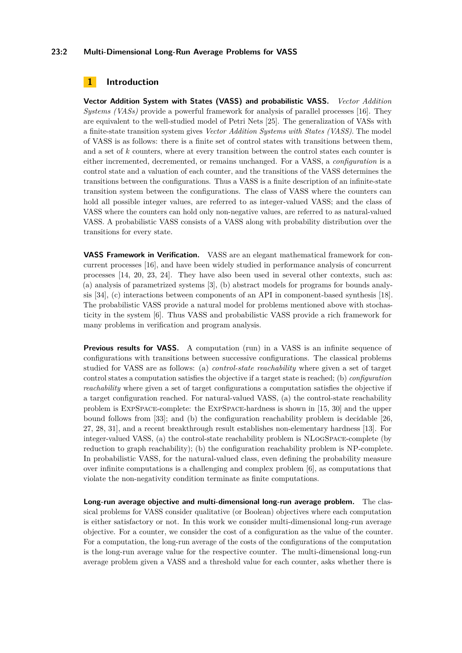# **23:2 Multi-Dimensional Long-Run Average Problems for VASS**

# **1 Introduction**

**Vector Addition System with States (VASS) and probabilistic VASS.** *Vector Addition Systems (VASs)* provide a powerful framework for analysis of parallel processes [\[16\]](#page-15-0). They are equivalent to the well-studied model of Petri Nets [\[25\]](#page-16-0). The generalization of VASs with a finite-state transition system gives *Vector Addition Systems with States (VASS)*. The model of VASS is as follows: there is a finite set of control states with transitions between them, and a set of *k* counters, where at every transition between the control states each counter is either incremented, decremented, or remains unchanged. For a VASS, a *configuration* is a control state and a valuation of each counter, and the transitions of the VASS determines the transitions between the configurations. Thus a VASS is a finite description of an infinite-state transition system between the configurations. The class of VASS where the counters can hold all possible integer values, are referred to as integer-valued VASS; and the class of VASS where the counters can hold only non-negative values, are referred to as natural-valued VASS. A probabilistic VASS consists of a VASS along with probability distribution over the transitions for every state.

**VASS Framework in Verification.** VASS are an elegant mathematical framework for concurrent processes [\[16\]](#page-15-0), and have been widely studied in performance analysis of concurrent processes [\[14,](#page-15-1) [20,](#page-15-2) [23,](#page-16-1) [24\]](#page-16-2). They have also been used in several other contexts, such as: (a) analysis of parametrized systems [\[3\]](#page-15-3), (b) abstract models for programs for bounds analysis [\[34\]](#page-16-3), (c) interactions between components of an API in component-based synthesis [\[18\]](#page-15-4). The probabilistic VASS provide a natural model for problems mentioned above with stochasticity in the system [\[6\]](#page-15-5). Thus VASS and probabilistic VASS provide a rich framework for many problems in verification and program analysis.

**Previous results for VASS.** A computation (run) in a VASS is an infinite sequence of configurations with transitions between successive configurations. The classical problems studied for VASS are as follows: (a) *control-state reachability* where given a set of target control states a computation satisfies the objective if a target state is reached; (b) *configuration reachability* where given a set of target configurations a computation satisfies the objective if a target configuration reached. For natural-valued VASS, (a) the control-state reachability problem is ExpSpace-complete: the ExpSpace-hardness is shown in [\[15,](#page-15-6) [30\]](#page-16-4) and the upper bound follows from [\[33\]](#page-16-5); and (b) the configuration reachability problem is decidable [\[26,](#page-16-6) [27,](#page-16-7) [28,](#page-16-8) [31\]](#page-16-9), and a recent breakthrough result establishes non-elementary hardness [\[13\]](#page-15-7). For integer-valued VASS, (a) the control-state reachability problem is NLogSpace-complete (by reduction to graph reachability); (b) the configuration reachability problem is NP-complete. In probabilistic VASS, for the natural-valued class, even defining the probability measure over infinite computations is a challenging and complex problem [\[6\]](#page-15-5), as computations that violate the non-negativity condition terminate as finite computations.

**Long-run average objective and multi-dimensional long-run average problem.** The classical problems for VASS consider qualitative (or Boolean) objectives where each computation is either satisfactory or not. In this work we consider multi-dimensional long-run average objective. For a counter, we consider the cost of a configuration as the value of the counter. For a computation, the long-run average of the costs of the configurations of the computation is the long-run average value for the respective counter. The multi-dimensional long-run average problem given a VASS and a threshold value for each counter, asks whether there is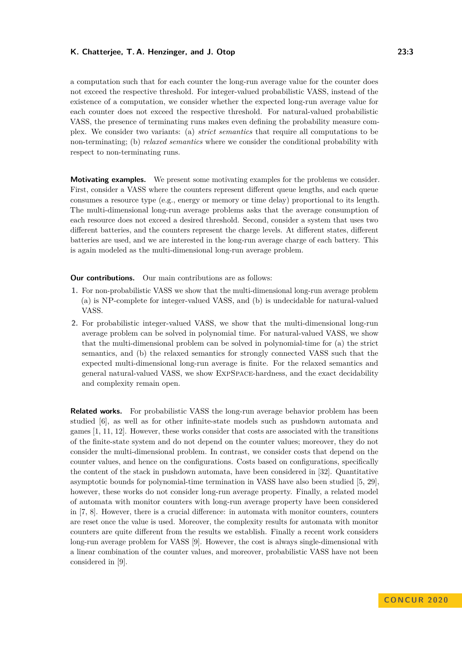a computation such that for each counter the long-run average value for the counter does not exceed the respective threshold. For integer-valued probabilistic VASS, instead of the existence of a computation, we consider whether the expected long-run average value for each counter does not exceed the respective threshold. For natural-valued probabilistic VASS, the presence of terminating runs makes even defining the probability measure complex. We consider two variants: (a) *strict semantics* that require all computations to be non-terminating; (b) *relaxed semantics* where we consider the conditional probability with respect to non-terminating runs.

**Motivating examples.** We present some motivating examples for the problems we consider. First, consider a VASS where the counters represent different queue lengths, and each queue consumes a resource type (e.g., energy or memory or time delay) proportional to its length. The multi-dimensional long-run average problems asks that the average consumption of each resource does not exceed a desired threshold. Second, consider a system that uses two different batteries, and the counters represent the charge levels. At different states, different batteries are used, and we are interested in the long-run average charge of each battery. This is again modeled as the multi-dimensional long-run average problem.

**Our contributions.** Our main contributions are as follows:

- **1.** For non-probabilistic VASS we show that the multi-dimensional long-run average problem (a) is NP-complete for integer-valued VASS, and (b) is undecidable for natural-valued VASS.
- **2.** For probabilistic integer-valued VASS, we show that the multi-dimensional long-run average problem can be solved in polynomial time. For natural-valued VASS, we show that the multi-dimensional problem can be solved in polynomial-time for (a) the strict semantics, and (b) the relaxed semantics for strongly connected VASS such that the expected multi-dimensional long-run average is finite. For the relaxed semantics and general natural-valued VASS, we show ExpSpace-hardness, and the exact decidability and complexity remain open.

**Related works.** For probabilistic VASS the long-run average behavior problem has been studied [\[6\]](#page-15-5), as well as for other infinite-state models such as pushdown automata and games [\[1,](#page-15-8) [11,](#page-15-9) [12\]](#page-15-10). However, these works consider that costs are associated with the transitions of the finite-state system and do not depend on the counter values; moreover, they do not consider the multi-dimensional problem. In contrast, we consider costs that depend on the counter values, and hence on the configurations. Costs based on configurations, specifically the content of the stack in pushdown automata, have been considered in [\[32\]](#page-16-10). Quantitative asymptotic bounds for polynomial-time termination in VASS have also been studied [\[5,](#page-15-11) [29\]](#page-16-11), however, these works do not consider long-run average property. Finally, a related model of automata with monitor counters with long-run average property have been considered in [\[7,](#page-15-12) [8\]](#page-15-13). However, there is a crucial difference: in automata with monitor counters, counters are reset once the value is used. Moreover, the complexity results for automata with monitor counters are quite different from the results we establish. Finally a recent work considers long-run average problem for VASS [\[9\]](#page-15-14). However, the cost is always single-dimensional with a linear combination of the counter values, and moreover, probabilistic VASS have not been considered in [\[9\]](#page-15-14).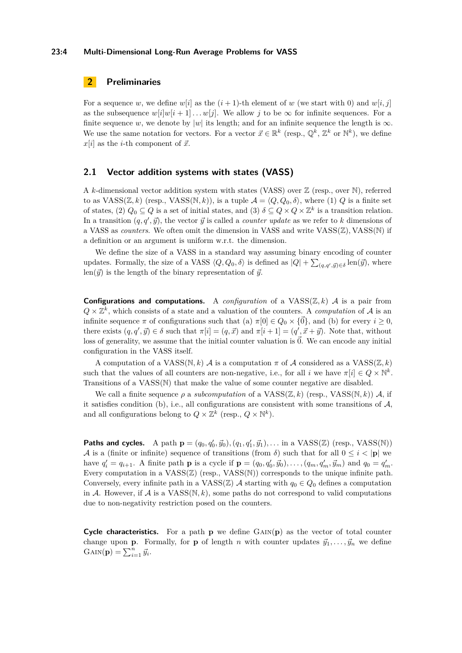#### **23:4 Multi-Dimensional Long-Run Average Problems for VASS**

# **2 Preliminaries**

For a sequence *w*, we define  $w[i]$  as the  $(i + 1)$ -th element of *w* (we start with 0) and  $w[i, j]$ as the subsequence  $w[i]w[i+1] \dots w[j]$ . We allow *j* to be  $\infty$  for infinite sequences. For a finite sequence *w*, we denote by |*w*| its length; and for an infinite sequence the length is  $\infty$ . We use the same notation for vectors. For a vector  $\vec{x} \in \mathbb{R}^k$  (resp.,  $\mathbb{Q}^k$ ,  $\mathbb{Z}^k$  or  $\mathbb{N}^k$ ), we define  $x[i]$  as the *i*-th component of  $\vec{x}$ .

# **2.1 Vector addition systems with states (VASS)**

A *k*-dimensional vector addition system with states (VASS) over  $\mathbb{Z}$  (resp., over N), referred to as  $VASS(\mathbb{Z}, k)$  (resp.,  $VASS(N, k)$ ), is a tuple  $\mathcal{A} = \langle Q, Q_0, \delta \rangle$ , where (1) *Q* is a finite set of states, (2)  $Q_0 \subseteq Q$  is a set of initial states, and (3)  $\delta \subseteq Q \times Q \times \mathbb{Z}^k$  is a transition relation. In a transition  $(q, q', \vec{y})$ , the vector  $\vec{y}$  is called a *counter update* as we refer to *k* dimensions of a VASS as *counters*. We often omit the dimension in VASS and write VASS(Z)*,* VASS(N) if a definition or an argument is uniform w.r.t. the dimension.

We define the size of a VASS in a standard way assuming binary encoding of counter updates. Formally, the size of a VASS  $\langle Q, Q_0, \delta \rangle$  is defined as  $|Q| + \sum_{(q,q',\vec{y}) \in \delta} \text{len}(\vec{y})$ , where  $\text{len}(\vec{y})$  is the length of the binary representation of  $\vec{y}$ .

**Configurations and computations.** A *configuration* of a VASS(Z*, k*) A is a pair from  $Q \times \mathbb{Z}^k$ , which consists of a state and a valuation of the counters. A *computation* of A is an infinite sequence  $\pi$  of configurations such that (a)  $\pi[0] \in Q_0 \times {\{\vec{0}\}}$ , and (b) for every  $i \geq 0$ , there exists  $(q, q', \vec{y}) \in \delta$  such that  $\pi[i] = (q, \vec{x})$  and  $\pi[i+1] = (q', \vec{x} + \vec{y})$ . Note that, without loss of generality, we assume that the initial counter valuation is  $\vec{0}$ . We can encode any initial configuration in the VASS itself.

A computation of a  $VASS(N, k)$  A is a computation  $\pi$  of A considered as a  $VASS(\mathbb{Z}, k)$ such that the values of all counters are non-negative, i.e., for all *i* we have  $\pi[i] \in Q \times \mathbb{N}^k$ . Transitions of a VASS(N) that make the value of some counter negative are disabled.

We call a finite sequence  $\rho$  a *subcomputation* of a VASS( $\mathbb{Z}, k$ ) (resp., VASS( $\mathbb{N}, k$ )) A, if it satisfies condition (b), i.e., all configurations are consistent with some transitions of  $A$ , and all configurations belong to  $Q \times \mathbb{Z}^k$  (resp.,  $Q \times \mathbb{N}^k$ ).

**Paths and cycles.** A path  $\mathbf{p} = (q_0, q'_0, \vec{y}_0), (q_1, q'_1, \vec{y}_1), \dots$  in a VASS(Z) (resp., VASS(N)) A is a (finite or infinite) sequence of transitions (from  $\delta$ ) such that for all  $0 \leq i < |{\bf p}|$  we have  $q'_i = q_{i+1}$ . A finite path **p** is a cycle if  $\mathbf{p} = (q_0, q'_0, \vec{y}_0), \dots, (q_m, q'_m, \vec{y}_m)$  and  $q_0 = q'_m$ . Every computation in a  $VASS(\mathbb{Z})$  (resp.,  $VASS(\mathbb{N}))$  corresponds to the unique infinite path. Conversely, every infinite path in a  $VASS(\mathbb{Z})$  A starting with  $q_0 \in Q_0$  defines a computation in A. However, if  $A$  is a  $VASS(N, k)$ , some paths do not correspond to valid computations due to non-negativity restriction posed on the counters.

**Cycle characteristics.** For a path **p** we define  $\text{GAN}(\mathbf{p})$  as the vector of total counter change upon **p**. Formally, for **p** of length *n* with counter updates  $\vec{y}_1, \ldots, \vec{y}_n$  we define  $\text{GAN}(\mathbf{p}) = \sum_{i=1}^{n} \vec{y}_i.$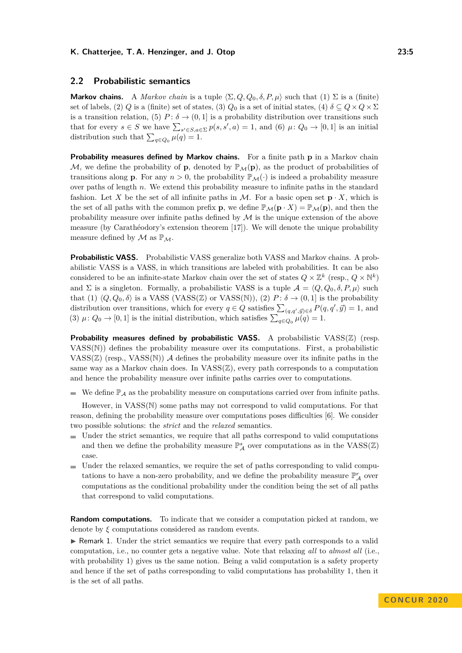# **2.2 Probabilistic semantics**

**Markov chains.** A *Markov chain* is a tuple  $\langle \Sigma, Q, Q_0, \delta, P, \mu \rangle$  such that (1)  $\Sigma$  is a (finite) set of labels, (2) *Q* is a (finite) set of states, (3) *Q*<sub>0</sub> is a set of initial states, (4)  $\delta \subseteq Q \times Q \times \Sigma$ is a transition relation, (5)  $P: \delta \to (0,1]$  is a probability distribution over transitions such that for every  $s \in S$  we have  $\sum_{s' \in S, a \in \Sigma} p(s, s', a) = 1$ , and (6)  $\mu: Q_0 \to [0, 1]$  is an initial distribution such that  $\sum_{q \in Q_0} \mu(q) = 1$ .

**Probability measures defined by Markov chains.** For a finite path **p** in a Markov chain M, we define the probability of **p**, denoted by  $\mathbb{P}_M(\mathbf{p})$ , as the product of probabilities of transitions along **p**. For any  $n > 0$ , the probability  $\mathbb{P}_{\mathcal{M}}(\cdot)$  is indeed a probability measure over paths of length *n*. We extend this probability measure to infinite paths in the standard fashion. Let X be the set of all infinite paths in M. For a basic open set  $\mathbf{p} \cdot X$ , which is the set of all paths with the common prefix **p**, we define  $\mathbb{P}_{\mathcal{M}}(\mathbf{p} \cdot X) = \mathbb{P}_{\mathcal{M}}(\mathbf{p})$ , and then the probability measure over infinite paths defined by  $\mathcal M$  is the unique extension of the above measure (by Carathéodory's extension theorem [\[17\]](#page-15-15)). We will denote the unique probability measure defined by  $\mathcal M$  as  $\mathbb{P}_{\mathcal M}$ .

**Probabilistic VASS.** Probabilistic VASS generalize both VASS and Markov chains. A probabilistic VASS is a VASS, in which transitions are labeled with probabilities. It can be also considered to be an infinite-state Markov chain over the set of states  $Q \times \mathbb{Z}^k$  (resp.,  $Q \times \mathbb{N}^k$ ) and  $\Sigma$  is a singleton. Formally, a probabilistic VASS is a tuple  $\mathcal{A} = \langle Q, Q_0, \delta, P, \mu \rangle$  such that (1)  $\langle Q, Q_0, \delta \rangle$  is a VASS (VASS(Z) or VASS(N)), (2) *P* :  $\delta \to (0, 1]$  is the probability distribution over transitions, which for every  $q \in Q$  satisfies  $\sum_{(q,q',\vec{y})\in \delta} P(q,q',\vec{y}) = 1$ , and (3)  $\mu: Q_0 \to [0, 1]$  is the initial distribution, which satisfies  $\sum_{q \in Q_0} \mu(q) = 1$ .

**Probability measures defined by probabilistic VASS.** A probabilistic VASS(Z) (resp. VASS(N)) defines the probability measure over its computations. First, a probabilistic VASS( $\mathbb{Z}$ ) (resp., VASS( $\mathbb{N}$ )) A defines the probability measure over its infinite paths in the same way as a Markov chain does. In  $VASS(\mathbb{Z})$ , every path corresponds to a computation and hence the probability measure over infinite paths carries over to computations.

We define  $\mathbb{P}_{\mathcal{A}}$  as the probability measure on computations carried over from infinite paths.

However, in VASS(N) some paths may not correspond to valid computations. For that reason, defining the probability measure over computations poses difficulties [\[6\]](#page-15-5). We consider two possible solutions: the *strict* and the *relaxed* semantics.

- Under the strict semantics, we require that all paths correspond to valid computations  $\blacksquare$ and then we define the probability measure  $\mathbb{P}_{\mathcal{A}}^{s}$  over computations as in the VASS( $\mathbb{Z}$ ) case.
- Under the relaxed semantics, we require the set of paths corresponding to valid computations to have a non-zero probability, and we define the probability measure  $\mathbb{P}^r_{\mathcal{A}}$  over computations as the conditional probability under the condition being the set of all paths that correspond to valid computations.

**Random computations.** To indicate that we consider a computation picked at random, we denote by *ξ* computations considered as random events.

 $\triangleright$  Remark 1. Under the strict semantics we require that every path corresponds to a valid computation, i.e., no counter gets a negative value. Note that relaxing *all* to *almost all* (i.e., with probability 1) gives us the same notion. Being a valid computation is a safety property and hence if the set of paths corresponding to valid computations has probability 1, then it is the set of all paths.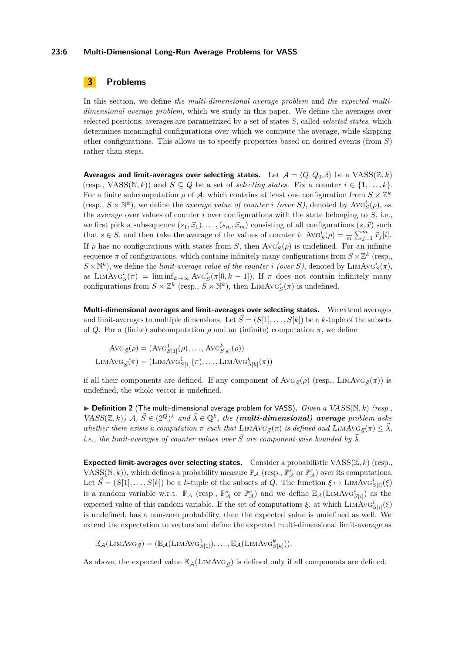#### **23:6 Multi-Dimensional Long-Run Average Problems for VASS**

# **3 Problems**

In this section, we define *the multi-dimensional average problem* and *the expected multidimensional average problem*, which we study in this paper. We define the averages over selected positions; averages are parametrized by a set of states *S*, called *selected states*, which determines meaningful configurations over which we compute the average, while skipping other configurations. This allows us to specify properties based on desired events (from *S*) rather than steps.

**Averages and limit-averages over selecting states.** Let  $\mathcal{A} = \langle Q, Q_0, \delta \rangle$  be a VASS( $\mathbb{Z}, k$ ) (resp., VASS( $\mathbb{N}, k$ )) and  $S \subseteq Q$  be a set of *selecting states*. Fix a counter  $i \in \{1, \ldots, k\}$ . For a finite subcomputation  $\rho$  of A, which contains at least one configuration from  $S \times \mathbb{Z}^k$ (resp.,  $S \times \mathbb{N}^k$ ), we define the *average value of counter i (over S*), denoted by  $\text{Avg}_S^i(\rho)$ , as the average over values of counter *i* over configurations with the state belonging to *S*, i.e., we first pick a subsequence  $(s_1, \vec{x}_1), \ldots, (s_m, \vec{x}_m)$  consisting of all configurations  $(s, \vec{x})$  such that  $s \in S$ , and then take the average of the values of counter *i*:  $\text{Avg}_S^i(\rho) = \frac{1}{m} \sum_{j=1}^m \vec{x}_j[i]$ . If  $\rho$  has no configurations with states from *S*, then  $\text{Avg}_S^i(\rho)$  is undefined. For an infinite sequence  $\pi$  of configurations, which contains infinitely many configurations from  $S \times \mathbb{Z}^k$  (resp.,  $S \times \mathbb{N}^k$ ), we define the *limit-average value of the counter <i>i (over S*), denoted by LIMAvG<sup>*i*</sup><sub>S</sub> $(\pi)$ , as LIMAV $G_S^i(\pi) = \liminf_{k \to \infty} \text{Avg}_S^i(\pi[0, k-1])$ . If  $\pi$  does not contain infinitely many configurations from  $S \times \mathbb{Z}^k$  (resp.,  $S \times \mathbb{N}^k$ ), then LIMAv $G_S^i(\pi)$  is undefined.

**Multi-dimensional averages and limit-averages over selecting states.** We extend averages and limit-averages to multiple dimensions. Let  $\vec{S} = (S[1], \ldots, S[k])$  be a *k*-tuple of the subsets of *Q*. For a (finite) subcomputation  $\rho$  and an (infinite) computation  $\pi$ , we define

$$
Avg_{\vec{S}}(\rho) = (Avg_{S[1]}^1(\rho), \dots, Avg_{S[k]}^k(\rho))
$$
  
LimAvg <sub>$\vec{S}}(\pi) = (LIMAvg_{S[1]}^1(\pi), \dots, LIMAvg_{S[k]}^k(\pi))$</sub> 

if all their components are defined. If any component of AvG<sub>*S*</sub>( $\rho$ ) (resp., LIMAvG<sub>*S*</sub>( $\pi$ )) is undefined, the whole vector is undefined.

I **Definition 2** (The multi-dimensional average problem for VASS)**.** *Given a* VASS(N*, k*) *(resp.,*  $VASS(\mathbb{Z},k)$ )  $\mathcal{A}, \ \vec{S} \in (2^Q)^k$  and  $\vec{\lambda} \in \mathbb{Q}^k$ , the *(multi-dimensional) average problem asks whether there exists a computation*  $\pi$  *such that* LIMAVG<sub> $\vec{s}(\pi)$  *is defined and* LIMAVG<sub> $\vec{s}(\pi) \leq \vec{\lambda}$ ,</sub></sub> *i.e., the limit-averages of counter values over*  $\vec{S}$  *are component-wise bounded by*  $\vec{\lambda}$ *.* 

**Expected limit-averages over selecting states.** Consider a probabilistic VASS(Z*, k*) (resp., VASS(N, k)), which defines a probability measure  $\mathbb{P}_{\mathcal{A}}$  (resp.,  $\mathbb{P}_{\mathcal{A}}^{s}$  or  $\mathbb{P}_{\mathcal{A}}^{r}$ ) over its computations. Let  $\vec{S} = (S[1], \ldots, S[k])$  be a *k*-tuple of the subsets of *Q*. The function  $\xi \mapsto \text{LIMAVG}_{S[i]}^i(\xi)$ is a random variable w.r.t.  $\mathbb{P}_{\mathcal{A}}$  (resp.,  $\mathbb{P}_{\mathcal{A}}^s$  or  $\mathbb{P}_{\mathcal{A}}^r$ ) and we define  $\mathbb{E}_{\mathcal{A}}(\text{LIMAVG}_{S[i]}^i)$  as the expected value of this random variable. If the set of computations  $\xi$ , at which LIMAvG<sup>*i*</sup><sub>S[*i*</sub>]</sub>( $\xi$ ) is undefined, has a non-zero probability, then the expected value is undefined as well. We extend the expectation to vectors and define the expected multi-dimensional limit-average as

$$
\mathbb{E}_{\mathcal{A}}(\text{LimAvg}_{\vec{S}}) = (\mathbb{E}_{\mathcal{A}}(\text{LimAvg}_{S[1]}^1), \dots, \mathbb{E}_{\mathcal{A}}(\text{LimAvg}_{S[k]}^k)).
$$

As above, the expected value  $\mathbb{E}_{\mathcal{A}}(\text{LIMAVG}_{\vec{S}})$  is defined only if all components are defined.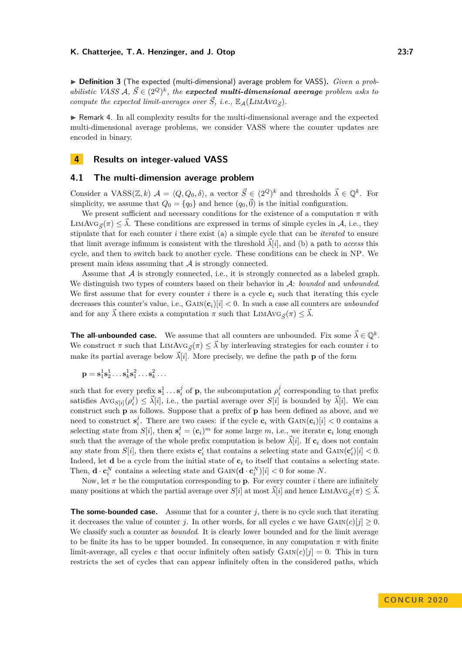▶ **Definition 3** (The expected (multi-dimensional) average problem for VASS). *Given a probabilistic VASS*  $A, \overrightarrow{S} \in (2^Q)^k$ , the expected multi-dimensional average problem asks to *compute the expected limit-averages over*  $\vec{S}$ , *i.e.*,  $\mathbb{E}_{\mathcal{A}}(LIMAVG_{\vec{c}})$ *.* 

 $\blacktriangleright$  Remark 4. In all complexity results for the multi-dimensional average and the expected multi-dimensional average problems, we consider VASS where the counter updates are encoded in binary.

# **4 Results on integer-valued VASS**

# **4.1 The multi-dimension average problem**

Consider a VASS( $\mathbb{Z}, k$ )  $\mathcal{A} = \langle Q, Q_0, \delta \rangle$ , a vector  $\vec{S} \in (2^Q)^k$  and thresholds  $\vec{\lambda} \in \mathbb{Q}^k$ . For simplicity, we assume that  $Q_0 = \{q_0\}$  and hence  $(q_0, \vec{0})$  is the initial configuration.

We present sufficient and necessary conditions for the existence of a computation  $\pi$  with LIMAVG $_{\vec{\sigma}}(\pi) \leq \lambda$ . These conditions are expressed in terms of simple cycles in A, i.e., they stipulate that for each counter *i* there exist (a) a simple cycle that can be *iterated* to ensure that limit average infimum is consistent with the threshold  $\vec{\lambda}[i]$ , and (b) a path to *access* this cycle, and then to switch back to another cycle. These conditions can be check in NP. We present main ideas assuming that A is strongly connected.

Assume that A is strongly connected, i.e., it is strongly connected as a labeled graph. We distinguish two types of counters based on their behavior in A: *bounded* and *unbounded*. We first assume that for every counter *i* there is a cycle  $c_i$  such that iterating this cycle decreases this counter's value, i.e.,  $\text{GAN}(\mathbf{c}_i)[i] < 0$ . In such a case all counters are *unbounded* and for any  $\overline{\lambda}$  there exists a computation  $\pi$  such that  $\text{LIMAVG}_{\overline{S}}(\pi) \leq \overline{\lambda}$ .

**The all-unbounded case.** We assume that all counters are unbounded. Fix some  $\vec{\lambda} \in \mathbb{Q}^k$ . We construct  $\pi$  such that LIMAVG<sub> $\vec{s}(\pi) \leq \vec{\lambda}$  by interleaving strategies for each counter *i* to</sub> make its partial average below  $\vec{\lambda}[i]$ . More precisely, we define the path **p** of the form

$$
\mathbf{p} = \mathbf{s}_1^1 \mathbf{s}_2^1 \dots \mathbf{s}_k^1 \mathbf{s}_1^2 \dots \mathbf{s}_k^2 \dots
$$

such that for every prefix  $s_1^1 \ldots s_i^j$  of **p**, the subcomputation  $\rho_i^j$  corresponding to that prefix satisfies  $\text{Avg}_{S[i]}(\rho_i^j) \leq \vec{\lambda}[i]$ , i.e., the partial average over  $S[i]$  is bounded by  $\vec{\lambda}[i]$ . We can construct such **p** as follows. Suppose that a prefix of **p** has been defined as above, and we need to construct  $s_i^j$ . There are two cases: if the cycle  $c_i$  with  $\text{GAN}(c_i)[i] < 0$  contains a selecting state from  $S[i]$ , then  $\mathbf{s}_i^j = (\mathbf{c}_i)^m$  for some large *m*, i.e., we iterate  $\mathbf{c}_i$  long enough such that the average of the whole prefix computation is below  $\tilde{\lambda}[i]$ . If  $c_i$  does not contain any state from  $S[i]$ , then there exists  $\mathbf{c}'_i$  that contains a selecting state and  $\text{GAN}(\mathbf{c}'_i)[i] < 0$ . Indeed, let **d** be a cycle from the initial state of **c***<sup>i</sup>* to itself that contains a selecting state. Then,  $\mathbf{d} \cdot \mathbf{c}_i^N$  contains a selecting state and  $\text{GAN}(\mathbf{d} \cdot \mathbf{c}_i^N)[i] < 0$  for some *N*.

Now, let  $\pi$  be the computation corresponding to **p**. For every counter *i* there are infinitely many positions at which the partial average over  $S[i]$  at most  $\vec{\lambda}[i]$  and hence LIMAVG<sub> $\vec{s}(\pi) \leq \vec{\lambda}$ .</sub>

<span id="page-6-0"></span>**The some-bounded case.** Assume that for a counter *j*, there is no cycle such that iterating it decreases the value of counter *j*. In other words, for all cycles *c* we have  $\text{GAN}(c)[j] \geq 0$ . We classify such a counter as *bounded*. It is clearly lower bounded and for the limit average to be finite its has to be upper bounded. In consequence, in any computation  $\pi$  with finite limit-average, all cycles c that occur infinitely often satisfy  $GAN(C)[j] = 0$ . This in turn restricts the set of cycles that can appear infinitely often in the considered paths, which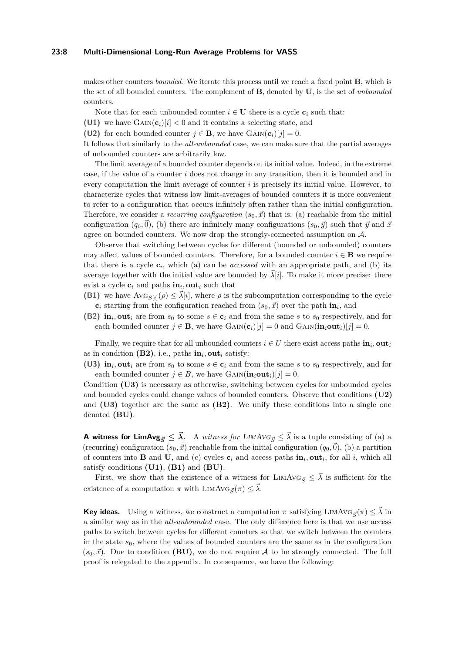#### **23:8 Multi-Dimensional Long-Run Average Problems for VASS**

makes other counters *bounded*. We iterate this process until we reach a fixed point **B**, which is the set of all bounded counters. The complement of **B**, denoted by **U**, is the set of *unbounded* counters.

Note that for each unbounded counter  $i \in U$  there is a cycle  $c_i$  such that:

**(U1)** we have  $\text{GAN}(\mathbf{c}_i)[i] < 0$  and it contains a selecting state, and

**(U2)** for each bounded counter  $j \in \mathbf{B}$ , we have  $\text{GAN}(\mathbf{c}_i)[j] = 0$ .

It follows that similarly to the *all-unbounded* case, we can make sure that the partial averages of unbounded counters are arbitrarily low.

The limit average of a bounded counter depends on its initial value. Indeed, in the extreme case, if the value of a counter *i* does not change in any transition, then it is bounded and in every computation the limit average of counter *i* is precisely its initial value. However, to characterize cycles that witness low limit-averages of bounded counters it is more convenient to refer to a configuration that occurs infinitely often rather than the initial configuration. Therefore, we consider a *recurring configuration*  $(s_0, \vec{x})$  that is: (a) reachable from the initial configuration  $(q_0, \vec{0})$ , (b) there are infinitely many configurations  $(s_0, \vec{y})$  such that  $\vec{y}$  and  $\vec{x}$ agree on bounded counters. We now drop the strongly-connected assumption on A.

Observe that switching between cycles for different (bounded or unbounded) counters may affect values of bounded counters. Therefore, for a bounded counter  $i \in \mathbf{B}$  we require that there is a cycle  $c_i$ , which (a) can be *accessed* with an appropriate path, and (b) its average together with the initial value are bounded by  $\vec{\lambda}[i]$ . To make it more precise: there exist a cycle  $c_i$  and paths  $\textbf{in}_i$ , out<sub>*i*</sub> such that

- **(B1)** we have  $\text{Avg}_{S[i]}(\rho) \leq \overline{\lambda}[i]$ , where  $\rho$  is the subcomputation corresponding to the cycle  $\mathbf{c}_i$  starting from the configuration reached from  $(s_0, \vec{x})$  over the path  $\mathbf{in}_i$ , and
- **(B2) in**<sub>*i*</sub>, **out**<sub>*i*</sub> are from  $s_0$  to some  $s \in \mathbf{c}_i$  and from the same *s* to  $s_0$  respectively, and for each bounded counter  $j \in \mathbf{B}$ , we have  $\text{GAN}(\mathbf{c}_i)[j] = 0$  and  $\text{GAN}(\mathbf{in}_i \text{out}_i)[j] = 0$ .

Finally, we require that for all unbounded counters  $i \in U$  there exist access paths  $\textbf{in}_i$ , out<sub>*i*</sub> as in condition  $(B2)$ , i.e., paths  $in_i$ , out<sub>*i*</sub> satisfy:

**(U3) in**<sub>*i*</sub>, **out**<sub>*i*</sub> are from  $s_0$  to some  $s \in \mathbf{c}_i$  and from the same *s* to  $s_0$  respectively, and for each bounded counter  $j \in B$ , we have  $\text{GAN}(\textbf{in}_i \textbf{out}_i)[j] = 0$ .

Condition **[\(U3\)](#page-6-0)** is necessary as otherwise, switching between cycles for unbounded cycles and bounded cycles could change values of bounded counters. Observe that conditions **[\(U2\)](#page-6-0)** and **[\(U3\)](#page-6-0)** together are the same as **[\(B2\)](#page-6-0)**. We unify these conditions into a single one denoted **(BU)**.

**A witness for LimAvg**<sub> $\vec{S} \leq \vec{\lambda}$ . A *witness for LIMAVG*<sub> $\vec{S} \leq \vec{\lambda}$  is a tuple consisting of (a) a</sub></sub> (recurring) configuration  $(s_0, \vec{x})$  reachable from the initial configuration  $(q_0, \vec{0})$ , (b) a partition of counters into **B** and **U**, and (c) cycles  $c_i$  and access paths  $\textbf{in}_i$ , out<sub>i</sub>, for all *i*, which all satisfy conditions **(U1)**, **(B1)** and **(BU)**.

First, we show that the existence of a witness for LIMAVG<sub> $\vec{s} \leq \vec{\lambda}$  is sufficient for the</sub> existence of a computation  $\pi$  with LIMAVG<sub>*S*</sub> $(\pi) \leq \lambda$ .

**Key ideas.** Using a witness, we construct a computation  $\pi$  satisfying LIMAvG<sub>*S*</sub>( $\pi$ )  $\leq \lambda$  in a similar way as in the *all-unbounded* case. The only difference here is that we use access paths to switch between cycles for different counters so that we switch between the counters in the state  $s_0$ , where the values of bounded counters are the same as in the configuration  $(s_0, \vec{x})$ . Due to condition **(BU)**, we do not require A to be strongly connected. The full proof is relegated to the appendix. In consequence, we have the following: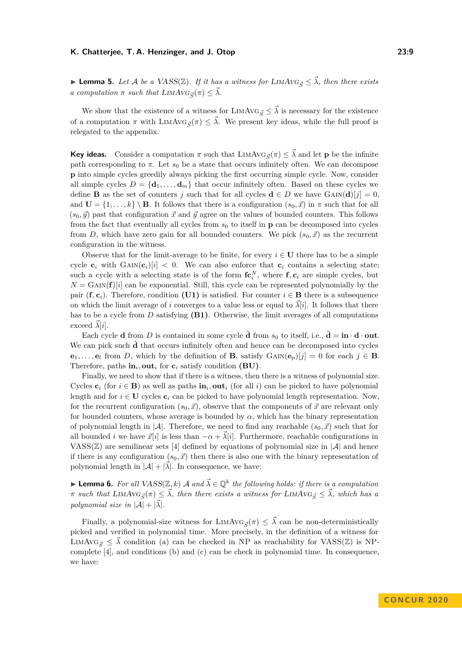► **Lemma 5.** *Let A be a* VASS( $\mathbb{Z}$ ). *If it has a witness for* LIMAVG<sub> $\vec{c}$ </sub>  $\leq \vec{\lambda}$ *, then there exists a computation*  $\pi$  *such that*  $\text{LIMAVG}_{\vec{S}}(\pi) \leq \vec{\lambda}$ .

We show that the existence of a witness for LIMAvG<sub> $\vec{S} \leq \vec{\lambda}$  is necessary for the existence</sub> of a computation  $\pi$  with  $\text{LIMAVG}_{\vec{S}}(\pi) \leq \vec{\lambda}$ . We present key ideas, while the full proof is relegated to the appendix.

**Key ideas.** Consider a computation  $\pi$  such that LIMAvG<sub>*S*</sub>( $\pi$ )  $\leq \bar{\lambda}$  and let **p** be the infinite path corresponding to  $\pi$ . Let  $s_0$  be a state that occurs infinitely often. We can decompose **p** into simple cycles greedily always picking the first occurring simple cycle. Now, consider all simple cycles  $D = {\bf d}_1, \ldots, {\bf d}_m$  that occur infinitely often. Based on these cycles we define **B** as the set of counters *j* such that for all cycles  $\mathbf{d} \in D$  we have  $\text{GAIN}(\mathbf{d})[j] = 0$ , and  $\mathbf{U} = \{1, \ldots, k\} \setminus \mathbf{B}$ . It follows that there is a configuration  $(s_0, \vec{x})$  in  $\pi$  such that for all  $(s_0, \vec{y})$  past that configuration  $\vec{x}$  and  $\vec{y}$  agree on the values of bounded counters. This follows from the fact that eventually all cycles from  $s_0$  to itself in **p** can be decomposed into cycles from *D*, which have zero gain for all bounded counters. We pick  $(s_0, \vec{x})$  as the recurrent configuration in the witness.

Observe that for the limit-average to be finite, for every  $i \in U$  there has to be a simple cycle  $\mathbf{c}_i$  with  $G \text{AIN}(\mathbf{c}_i)[i] < 0$ . We can also enforce that  $\mathbf{c}_i$  contains a selecting state; such a cycle with a selecting state is of the form  $f{c_i}^N$ , where  $f{c_i}$  are simple cycles, but  $N = \text{GAN}(\mathbf{f})[i]$  can be exponential. Still, this cycle can be represented polynomially by the pair  $(\mathbf{f}, \mathbf{c}_i)$ . Therefore, condition **[\(U1\)](#page-6-0)** is satisfied. For counter  $i \in \mathbf{B}$  there is a subsequence on which the limit average of *i* converges to a value less or equal to  $\lambda[i]$ . It follows that there has to be a cycle from *D* satisfying **[\(B1\)](#page-6-0)**. Otherwise, the limit averages of all computations exceed  $\lambda[i]$ .

Each cycle **d** from *D* is contained in some cycle **d** from  $s_0$  to itself, i.e.,  $\mathbf{d} = \mathbf{in} \cdot \mathbf{d} \cdot \mathbf{out}$ . We can pick such **d** that occurs infinitely often and hence can be decomposed into cycles **e**<sub>1</sub>*,...*,**e**<sub>l</sub> from *D*, which by the definition of **B**, satisfy  $\text{GAN}(\mathbf{e}_p)[j] = 0$  for each  $j \in \mathbf{B}$ . Therefore, paths  $\textbf{in}_i$ , out<sub>*i*</sub> for  $\textbf{c}_i$  satisfy condition (BU).

Finally, we need to show that if there is a witness, then there is a witness of polynomial size. Cycles  $c_i$  (for  $i \in B$ ) as well as paths  $\textbf{in}_i$ , out<sub>*i*</sub> (for all *i*) can be picked to have polynomial length and for  $i \in U$  cycles  $c_i$  can be picked to have polynomial length representation. Now, for the recurrent configuration  $(s_0, \vec{x})$ , observe that the components of  $\vec{x}$  are relevant only for bounded counters, whose average is bounded by  $\alpha$ , which has the binary representation of polynomial length in  $|\mathcal{A}|$ . Therefore, we need to find any reachable  $(s_0, \vec{x})$  such that for all bounded *i* we have  $\vec{x}[i]$  is less than  $-\alpha + \vec{\lambda}[i]$ . Furthermore, reachable configurations in VASS( $\mathbb{Z}$ ) are semilinear sets [\[4\]](#page-15-16) defined by equations of polynomial size in  $|\mathcal{A}|$  and hence if there is any configuration  $(s_0, \vec{x})$  then there is also one with the binary representation of polynomial length in  $|\mathcal{A}| + |\vec{\lambda}|$ . In consequence, we have:

**Lemma 6.** For all  $VASS(\mathbb{Z}, k)$  A and  $\vec{\lambda} \in \mathbb{Q}^k$  the following holds: if there is a computation  $\pi$  *such that* LIMAV $G_{\vec{S}}(\pi) \leq \vec{\lambda}$ , then there exists a witness for LIMAV $G_{\vec{S}} \leq \vec{\lambda}$ , which has a *polynomial size in*  $|\mathcal{A}| + |\vec{\lambda}|$ *.* 

Finally, a polynomial-size witness for LIMAv $G_{\vec{c}}(\pi) \leq \vec{\lambda}$  can be non-deterministically picked and verified in polynomial time. More precisely, in the definition of a witness for LIMAVG<sub> $\bar{s} \leq \bar{\lambda}$  condition (a) can be checked in NP as reachability for VASS( $\mathbb{Z}$ ) is NP-</sub> complete [\[4\]](#page-15-16), and conditions (b) and (c) can be check in polynomial time. In consequence, we have: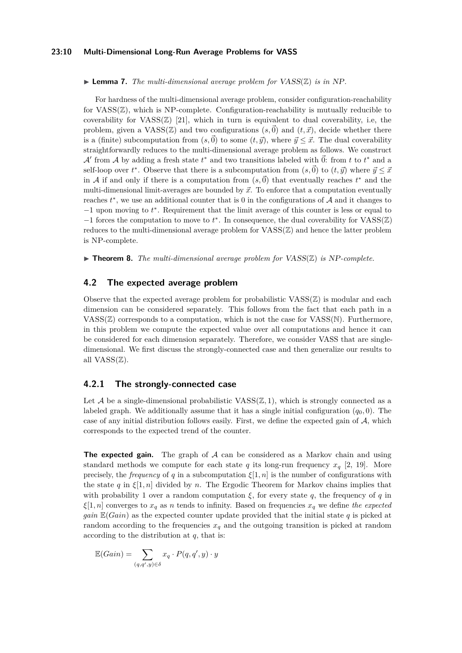#### **23:10 Multi-Dimensional Long-Run Average Problems for VASS**

#### $\blacktriangleright$  **Lemma 7.** *The multi-dimensional average problem for* VASS( $\mathbb{Z}$ ) *is in* NP.

For hardness of the multi-dimensional average problem, consider configuration-reachability for  $VASS(\mathbb{Z})$ , which is NP-complete. Configuration-reachability is mutually reducible to coverability for  $VASS(\mathbb{Z})$  [\[21\]](#page-15-17), which in turn is equivalent to dual coverability, i.e, the problem, given a  $VASS(\mathbb{Z})$  and two configurations  $(s,\vec{0})$  and  $(t,\vec{x})$ , decide whether there is a (finite) subcomputation from  $(s,\vec{0})$  to some  $(t,\vec{y})$ , where  $\vec{y} \leq \vec{x}$ . The dual coverability straightforwardly reduces to the multi-dimensional average problem as follows. We construct  $\mathcal{A}'$  from  $\mathcal{A}$  by adding a fresh state  $t^*$  and two transitions labeled with  $\vec{0}$ : from  $t$  to  $t^*$  and a self-loop over  $t^*$ . Observe that there is a subcomputation from  $(s, \vec{0})$  to  $(t, \vec{y})$  where  $\vec{y} \leq \vec{x}$ in A if and only if there is a computation from  $(s,\vec{0})$  that eventually reaches  $t^*$  and the multi-dimensional limit-averages are bounded by  $\vec{x}$ . To enforce that a computation eventually reaches  $t^*$ , we use an additional counter that is 0 in the configurations of  $A$  and it changes to −1 upon moving to *t* ∗ . Requirement that the limit average of this counter is less or equal to −1 forces the computation to move to *t* ∗ . In consequence, the dual coverability for VASS(Z) reduces to the multi-dimensional average problem for  $VASS(\mathbb{Z})$  and hence the latter problem is NP-complete.

 $\triangleright$  **Theorem 8.** The multi-dimensional average problem for VASS( $\mathbb{Z}$ ) is NP-complete.

# <span id="page-9-0"></span>**4.2 The expected average problem**

Observe that the expected average problem for probabilistic  $VASS(\mathbb{Z})$  is modular and each dimension can be considered separately. This follows from the fact that each path in a  $VASS(\mathbb{Z})$  corresponds to a computation, which is not the case for  $VASS(\mathbb{N})$ . Furthermore, in this problem we compute the expected value over all computations and hence it can be considered for each dimension separately. Therefore, we consider VASS that are singledimensional. We first discuss the strongly-connected case and then generalize our results to all  $VASS(\mathbb{Z})$ .

# **4.2.1 The strongly-connected case**

Let  $A$  be a single-dimensional probabilistic  $VASS(\mathbb{Z},1)$ , which is strongly connected as a labeled graph. We additionally assume that it has a single initial configuration  $(q_0, 0)$ . The case of any initial distribution follows easily. First, we define the expected gain of  $A$ , which corresponds to the expected trend of the counter.

**The expected gain.** The graph of A can be considered as a Markov chain and using standard methods we compute for each state *q* its long-run frequency  $x_q$  [\[2,](#page-15-18) [19\]](#page-15-19). More precisely, the *frequency* of *q* in a subcomputation  $\xi[1,n]$  is the number of configurations with the state *q* in  $\xi[1,n]$  divided by *n*. The Ergodic Theorem for Markov chains implies that with probability 1 over a random computation  $\xi$ , for every state  $q$ , the frequency of  $q$  in *ξ*[1, *n*] converges to  $x_q$  as *n* tends to infinity. Based on frequencies  $x_q$  we define *the expected gain* E(*Gain*) as the expected counter update provided that the initial state *q* is picked at random according to the frequencies  $x_q$  and the outgoing transition is picked at random according to the distribution at *q*, that is:

$$
\mathbb{E}(Gain) = \sum_{(q,q',y)\in\delta} x_q \cdot P(q,q',y) \cdot y
$$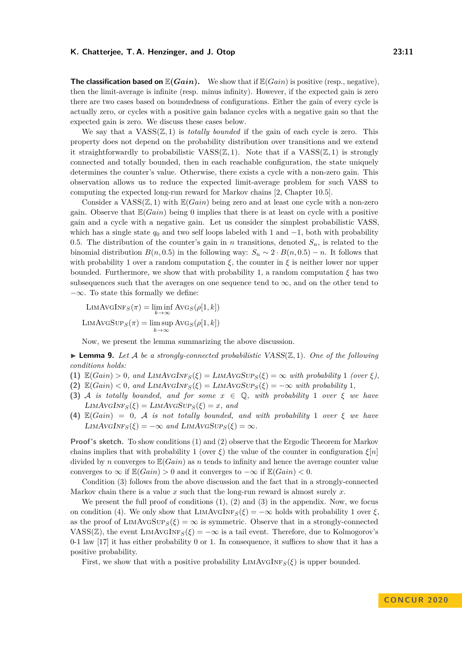**The classification based on**  $\mathbb{E}(Gain)$ . We show that if  $\mathbb{E}(Gain)$  is positive (resp., negative), then the limit-average is infinite (resp. minus infinity). However, if the expected gain is zero there are two cases based on boundedness of configurations. Either the gain of every cycle is actually zero, or cycles with a positive gain balance cycles with a negative gain so that the expected gain is zero. We discuss these cases below.

We say that a  $VASS(\mathbb{Z},1)$  is *totally bounded* if the gain of each cycle is zero. This property does not depend on the probability distribution over transitions and we extend it straightforwardly to probabilistic  $VASS(\mathbb{Z},1)$ . Note that if a  $VASS(\mathbb{Z},1)$  is strongly connected and totally bounded, then in each reachable configuration, the state uniquely determines the counter's value. Otherwise, there exists a cycle with a non-zero gain. This observation allows us to reduce the expected limit-average problem for such VASS to computing the expected long-run reward for Markov chains [\[2,](#page-15-18) Chapter 10.5].

Consider a  $VASS(\mathbb{Z}, 1)$  with  $\mathbb{E}(Gain)$  being zero and at least one cycle with a non-zero gain. Observe that E(*Gain*) being 0 implies that there is at least on cycle with a positive gain and a cycle with a negative gain. Let us consider the simplest probabilistic VASS, which has a single state  $q_0$  and two self loops labeled with 1 and  $-1$ , both with probability 0.5. The distribution of the counter's gain in *n* transitions, denoted  $S_n$ , is related to the binomial distribution  $B(n, 0.5)$  in the following way:  $S_n \sim 2 \cdot B(n, 0.5) - n$ . It follows that with probability 1 over a random computation  $\xi$ , the counter in  $\xi$  is neither lower nor upper bounded. Furthermore, we show that with probability 1, a random computation  $\xi$  has two subsequences such that the averages on one sequence tend to  $\infty$ , and on the other tend to  $-\infty$ . To state this formally we define:

$$
\text{LIMAVGINF}_S(\pi) = \liminf_{k \to \infty} \text{AVG}_S(\rho[1, k])
$$

$$
\text{LIMAVGSUP}_S(\pi) = \limsup_{k \to \infty} \text{AVG}_S(\rho[1, k])
$$

Now, we present the lemma summarizing the above discussion.

<span id="page-10-0"></span> $\blacktriangleright$  **Lemma 9.** Let A be a strongly-connected probabilistic VASS( $\mathbb{Z}, 1$ ). One of the following *conditions holds:*

- **(1)**  $\mathbb{E}(Gain) > 0$ , and  $\text{LIMAVGINF}_{S}(\xi) = \text{LIMAVGSUP}_{S}(\xi) = \infty$  with probability 1 *(over*  $\xi$ *)*,
- (2)  $\mathbb{E}(Gain) < 0$ *, and*  $\text{LIMAVGINF}_{S}(\xi) = \text{LIMAVGSUP}_{S}(\xi) = -\infty$  with probability 1*,*
- **(3)** A *is totally bounded, and for some*  $x \in \mathbb{Q}$ *, with probability* 1 *over*  $\xi$  *we have*  $LIMAVGINF<sub>S</sub>(\xi) = LIMAVGSUP<sub>S</sub>(\xi) = x$ *, and*
- **(4)**  $\mathbb{E}(Gain) = 0$ , A *is not totally bounded, and with probability* 1 *over*  $\xi$  *we have*  $LIMAVGINF<sub>S</sub>(\xi) = -\infty$  and  $LIMAVGSUP<sub>S</sub>(\xi) = \infty$ .

**Proof's sketch.** To show conditions (1) and (2) observe that the Ergodic Theorem for Markov chains implies that with probability 1 (over  $\xi$ ) the value of the counter in configuration  $\xi[n]$ divided by *n* converges to  $\mathbb{E}(Gain)$  as *n* tends to infinity and hence the average counter value converges to  $\infty$  if  $\mathbb{E}(Gain) > 0$  and it converges to  $-\infty$  if  $\mathbb{E}(Gain) < 0$ .

Condition (3) follows from the above discussion and the fact that in a strongly-connected Markov chain there is a value *x* such that the long-run reward is almost surely *x*.

We present the full proof of conditions  $(1), (2)$  and  $(3)$  in the appendix. Now, we focus on condition (4). We only show that  $\text{LIMAVGINF}_{S}(\xi) = -\infty$  holds with probability 1 over  $\xi$ , as the proof of LIMAVGSUP<sub>*S*</sub>( $\xi$ ) =  $\infty$  is symmetric. Observe that in a strongly-connected VASS( $\mathbb{Z}$ ), the event LIMAVGINF<sub>*S*</sub>( $\xi$ ) =  $-\infty$  is a tail event. Therefore, due to Kolmogorov's 0-1 law [\[17\]](#page-15-15) it has either probability 0 or 1. In consequence, it suffices to show that it has a positive probability.

First, we show that with a positive probability  $\text{LIMAVGINF}_{S}(\xi)$  is upper bounded.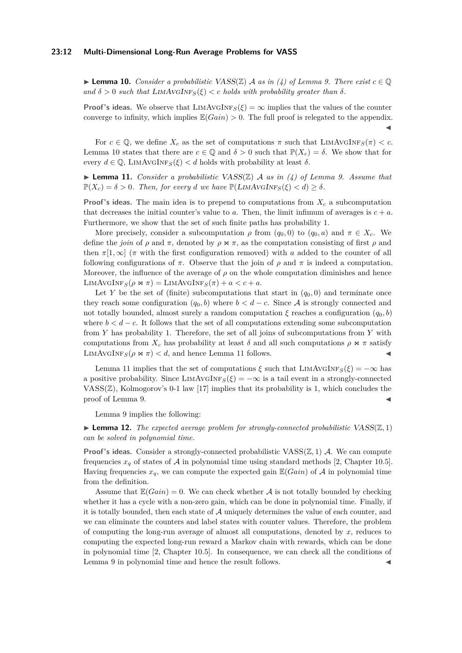#### **23:12 Multi-Dimensional Long-Run Average Problems for VASS**

<span id="page-11-0"></span>► **Lemma 10.** *Consider a probabilistic VASS(* $\mathbb{Z}$ *) A as in (4) of Lemma [9.](#page-10-0) There exist*  $c \in \mathbb{Q}$  $\alpha$  *and*  $\delta > 0$  *such that* LIMAVGINF<sub>*S*</sub>( $\xi$ ) < *c holds with probability greater than*  $\delta$ *.* 

**Proof's ideas.** We observe that  $\text{LIMAVGINF}_{S}(\xi) = \infty$  implies that the values of the counter converge to infinity, which implies  $\mathbb{E}(Gain) > 0$ . The full proof is relegated to the appendix.  $\blacktriangleleft$ 

For  $c \in \mathbb{Q}$ , we define  $X_c$  as the set of computations  $\pi$  such that  $\text{LIMAVGINF}_{S}(\pi) < c$ . Lemma [10](#page-11-0) states that there are  $c \in \mathbb{Q}$  and  $\delta > 0$  such that  $\mathbb{P}(X_c) = \delta$ . We show that for every  $d \in \mathbb{Q}$ , LIMAVGINF<sub>*S*</sub>( $\xi$ ) < d holds with probability at least  $\delta$ .

<span id="page-11-1"></span> $\blacktriangleright$  **Lemma 11.** *Consider a probabilistic VASS(Z) A as in (4) of Lemma [9.](#page-10-0) Assume that*  $\mathbb{P}(X_c) = \delta > 0$ . Then, for every *d* we have  $\mathbb{P}(LIMAVGINF_S(\xi) < d) \geq \delta$ .

**Proof's ideas.** The main idea is to prepend to computations from  $X_c$  a subcomputation that decreases the initial counter's value to  $a$ . Then, the limit infimum of averages is  $c + a$ . Furthermore, we show that the set of such finite paths has probability 1.

More precisely, consider a subcomputation  $\rho$  from  $(q_0, 0)$  to  $(q_0, a)$  and  $\pi \in X_c$ . We define the *join* of  $\rho$  and  $\pi$ , denoted by  $\rho \Join \pi$ , as the computation consisting of first  $\rho$  and then  $\pi[1,\infty]$  ( $\pi$  with the first configuration removed) with *a* added to the counter of all following configurations of  $\pi$ . Observe that the join of  $\rho$  and  $\pi$  is indeed a computation. Moreover, the influence of the average of  $\rho$  on the whole computation diminishes and hence LIMAVGINF<sub>*S*</sub>( $\rho \Join \pi$ ) = LIMAVGINF<sub>*S*</sub>( $\pi$ ) +  $a < c + a$ .

Let *Y* be the set of (finite) subcomputations that start in  $(q_0, 0)$  and terminate once they reach some configuration  $(q_0, b)$  where  $b < d - c$ . Since A is strongly connected and not totally bounded, almost surely a random computation  $\xi$  reaches a configuration  $(q_0, b)$ where  $b < d - c$ . It follows that the set of all computations extending some subcomputation from *Y* has probability 1. Therefore, the set of all joins of subcomputations from *Y* with computations from  $X_c$  has probability at least  $\delta$  and all such computations  $\rho \bowtie \pi$  satisfy LIMAVGINF<sub>*S*</sub>( $\rho \Join \pi$ ) < *d*, and hence Lemma [11](#page-11-1) follows.

Lemma [11](#page-11-1) implies that the set of computations  $\xi$  such that LIMAVGINF<sub>*S*</sub>( $\xi$ ) = −∞ has a positive probability. Since  $\text{LIMAVGINF}_{S}(\xi) = -\infty$  is a tail event in a strongly-connected VASS $(\mathbb{Z})$ , Kolmogorov's 0-1 law [\[17\]](#page-15-15) implies that its probability is 1, which concludes the proof of Lemma [9.](#page-10-0)

Lemma [9](#page-10-0) implies the following:

**Lemma 12.** The expected average problem for strongly-connected probabilistic VASS( $\mathbb{Z}, 1$ ) *can be solved in polynomial time.*

**Proof's ideas.** Consider a strongly-connected probabilistic  $VASS(\mathbb{Z}, 1)$  A. We can compute frequencies  $x_q$  of states of A in polynomial time using standard methods [\[2,](#page-15-18) Chapter 10.5]. Having frequencies  $x_q$ , we can compute the expected gain  $\mathbb{E}(Gain)$  of A in polynomial time from the definition.

Assume that  $\mathbb{E}(Gain) = 0$ . We can check whether A is not totally bounded by checking whether it has a cycle with a non-zero gain, which can be done in polynomial time. Finally, if it is totally bounded, then each state of  $A$  uniquely determines the value of each counter, and we can eliminate the counters and label states with counter values. Therefore, the problem of computing the long-run average of almost all computations, denoted by *x*, reduces to computing the expected long-run reward a Markov chain with rewards, which can be done in polynomial time [\[2,](#page-15-18) Chapter 10.5]. In consequence, we can check all the conditions of Lemma [9](#page-10-0) in polynomial time and hence the result follows.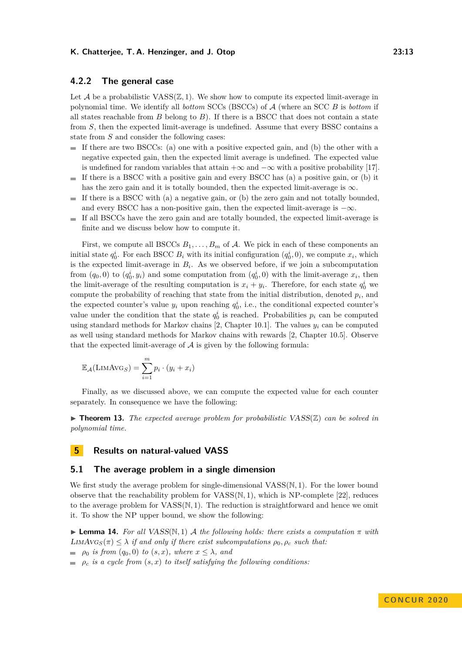# **4.2.2 The general case**

Let  $A$  be a probabilistic  $VASS(\mathbb{Z}, 1)$ . We show how to compute its expected limit-average in polynomial time. We identify all *bottom* SCCs (BSCCs) of A (where an SCC *B* is *bottom* if all states reachable from *B* belong to *B*). If there is a BSCC that does not contain a state from *S*, then the expected limit-average is undefined. Assume that every BSSC contains a state from *S* and consider the following cases:

- $\blacksquare$  If there are two BSCCs: (a) one with a positive expected gain, and (b) the other with a negative expected gain, then the expected limit average is undefined. The expected value is undefined for random variables that attain  $+\infty$  and  $-\infty$  with a positive probability [\[17\]](#page-15-15).
- $\blacksquare$  If there is a BSCC with a positive gain and every BSCC has (a) a positive gain, or (b) it has the zero gain and it is totally bounded, then the expected limit-average is  $\infty$ .
- If there is a BSCC with (a) a negative gain, or (b) the zero gain and not totally bounded,  $\mathbf{r}$ and every BSCC has a non-positive gain, then the expected limit-average is  $-\infty$ .
- If all BSCCs have the zero gain and are totally bounded, the expected limit-average is  $\sim$ finite and we discuss below how to compute it.

First, we compute all BSCCs  $B_1, \ldots, B_m$  of A. We pick in each of these components an initial state  $q_0^i$ . For each BSCC  $B_i$  with its initial configuration  $(q_0^i, 0)$ , we compute  $x_i$ , which is the expected limit-average in  $B_i$ . As we observed before, if we join a subcomputation from  $(q_0, 0)$  to  $(q_0^i, y_i)$  and some computation from  $(q_0^i, 0)$  with the limit-average  $x_i$ , then the limit-average of the resulting computation is  $x_i + y_i$ . Therefore, for each state  $q_0^i$  we compute the probability of reaching that state from the initial distribution, denoted *p<sup>i</sup>* , and the expected counter's value  $y_i$  upon reaching  $q_0^i$ , i.e., the conditional expected counter's value under the condition that the state  $q_0^i$  is reached. Probabilities  $p_i$  can be computed using standard methods for Markov chains [\[2,](#page-15-18) Chapter 10.1]. The values  $y_i$  can be computed as well using standard methods for Markov chains with rewards [\[2,](#page-15-18) Chapter 10.5]. Observe that the expected limit-average of  $A$  is given by the following formula:

$$
\mathbb{E}_{\mathcal{A}}(\text{LIMAVG}_S) = \sum_{i=1}^{m} p_i \cdot (y_i + x_i)
$$

Finally, as we discussed above, we can compute the expected value for each counter separately. In consequence we have the following:

<span id="page-12-1"></span> $\triangleright$  **Theorem 13.** The expected average problem for probabilistic VASS( $\mathbb{Z}$ ) can be solved in *polynomial time.*

# **5 Results on natural-valued VASS**

## **5.1 The average problem in a single dimension**

We first study the average problem for single-dimensional VASS(N*,* 1). For the lower bound observe that the reachability problem for VASS(N*,* 1), which is NP-complete [\[22\]](#page-16-12), reduces to the average problem for VASS(N*,* 1). The reduction is straightforward and hence we omit it. To show the NP upper bound, we show the following:

<span id="page-12-0"></span>**I Lemma 14.** For all VASS( $\mathbb{N}, 1$ ) A the following holds: there exists a computation  $\pi$  with LIMAVG<sub>S</sub> $(\pi) \leq \lambda$  *if and only if there exist subcomputations*  $\rho_0$ ,  $\rho_c$  *such that:* 

 $\rho_0$  *is from*  $(q_0, 0)$  *to*  $(s, x)$ *, where*  $x \leq \lambda$ *, and* 

 $\rho_c$  *is a cycle from*  $(s, x)$  *to itself satisfying the following conditions:*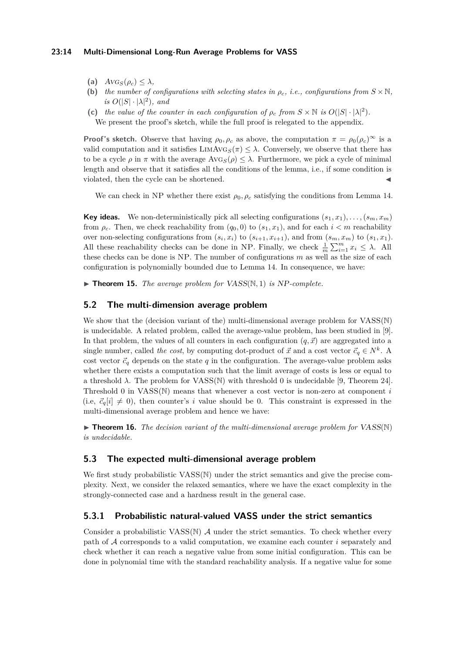## **23:14 Multi-Dimensional Long-Run Average Problems for VASS**

- (a)  $AVG_S(\rho_c) \leq \lambda$ ,
- **(b)** *the number of configurations with selecting states in*  $\rho_c$ , *i.e., configurations from*  $S \times \mathbb{N}$ *, is*  $O(|S| \cdot |\lambda|^2)$ *, and*
- (c) *the value of the counter in each configuration of*  $\rho_c$  *from*  $S \times \mathbb{N}$  *is*  $O(|S| \cdot |\lambda|^2)$ *.* We present the proof's sketch, while the full proof is relegated to the appendix.

**Proof's sketch.** Observe that having  $\rho_0$ ,  $\rho_c$  as above, the computation  $\pi = \rho_0(\rho_c)^\infty$  is a valid computation and it satisfies  $\text{LIMAVG}_{S}(\pi) \leq \lambda$ . Conversely, we observe that there has to be a cycle  $\rho$  in  $\pi$  with the average Avg<sub>S</sub>( $\rho$ )  $\leq \lambda$ . Furthermore, we pick a cycle of minimal length and observe that it satisfies all the conditions of the lemma, i.e., if some condition is violated, then the cycle can be shortened.

We can check in NP whether there exist  $\rho_0$ ,  $\rho_c$  satisfying the conditions from Lemma [14.](#page-12-0)

**Key ideas.** We non-deterministically pick all selecting configurations  $(s_1, x_1), \ldots, (s_m, x_m)$ from  $\rho_c$ . Then, we check reachability from  $(q_0, 0)$  to  $(s_1, x_1)$ , and for each  $i < m$  reachability over non-selecting configurations from  $(s_i, x_i)$  to  $(s_{i+1}, x_{i+1})$ , and from  $(s_m, x_m)$  to  $(s_1, x_1)$ . All these reachability checks can be done in NP. Finally, we check  $\frac{1}{m} \sum_{i=1}^{m} x_i \leq \lambda$ . All these checks can be done is NP. The number of configurations *m* as well as the size of each configuration is polynomially bounded due to Lemma [14.](#page-12-0) In consequence, we have:

 $\triangleright$  **Theorem 15.** *The average problem for VASS(N, 1) is NP-complete.* 

# **5.2 The multi-dimension average problem**

We show that the (decision variant of the) multi-dimensional average problem for  $VASS(N)$ is undecidable. A related problem, called the average-value problem, has been studied in [\[9\]](#page-15-14). In that problem, the values of all counters in each configuration  $(q, \vec{x})$  are aggregated into a single number, called *the cost*, by computing dot-product of  $\vec{x}$  and a cost vector  $\vec{c}_q \in N^k$ . A cost vector  $\vec{c}_q$  depends on the state *q* in the configuration. The average-value problem asks whether there exists a computation such that the limit average of costs is less or equal to a threshold  $\lambda$ . The problem for VASS(N) with threshold 0 is undecidable [\[9,](#page-15-14) Theorem 24]. Threshold 0 in VASS(N) means that whenever a cost vector is non-zero at component *i* (i.e,  $\vec{c}_q[i] \neq 0$ ), then counter's *i* value should be 0. This constraint is expressed in the multi-dimensional average problem and hence we have:

**• Theorem 16.** *The decision variant of the multi-dimensional average problem for*  $VASS(N)$ *is undecidable.*

## **5.3 The expected multi-dimensional average problem**

We first study probabilistic VASS(N) under the strict semantics and give the precise complexity. Next, we consider the relaxed semantics, where we have the exact complexity in the strongly-connected case and a hardness result in the general case.

# **5.3.1 Probabilistic natural-valued VASS under the strict semantics**

Consider a probabilistic VASS $(\mathbb{N})$  A under the strict semantics. To check whether every path of A corresponds to a valid computation, we examine each counter *i* separately and check whether it can reach a negative value from some initial configuration. This can be done in polynomial time with the standard reachability analysis. If a negative value for some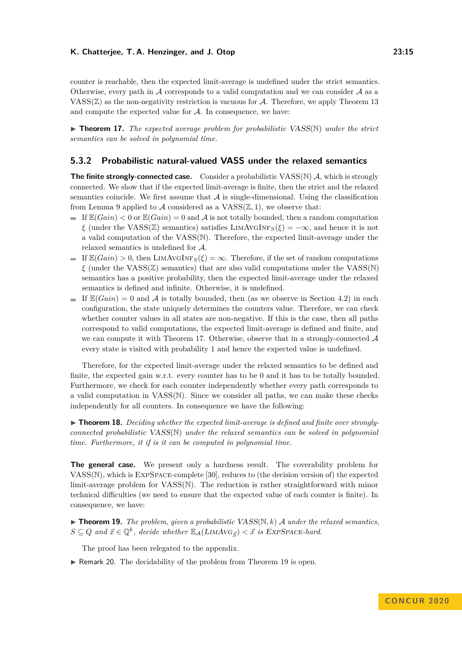counter is reachable, then the expected limit-average is undefined under the strict semantics. Otherwise, every path in A corresponds to a valid computation and we can consider  $A$  as a  $VASS(\mathbb{Z})$  as the non-negativity restriction is vacuous for A. Therefore, we apply Theorem [13](#page-12-1) and compute the expected value for  $A$ . In consequence, we have:

<span id="page-14-0"></span>▶ **Theorem 17.** *The expected average problem for probabilistic* VASS(N) *under the strict semantics can be solved in polynomial time.*

# **5.3.2 Probabilistic natural-valued VASS under the relaxed semantics**

**The finite strongly-connected case.** Consider a probabilistic VASS(N) A, which is strongly connected. We show that if the expected limit-average is finite, then the strict and the relaxed semantics coincide. We first assume that  $A$  is single-dimensional. Using the classification from Lemma [9](#page-10-0) applied to  $A$  considered as a  $VASS(\mathbb{Z},1)$ , we observe that:

- If  $\mathbb{E}(Gain) < 0$  or  $\mathbb{E}(Gain) = 0$  and A is not totally bounded, then a random computation *ξ* (under the VASS( $\mathbb{Z}$ ) semantics) satisfies LIMAVGINF<sub>*S*</sub>( $\xi$ ) =  $-\infty$ , and hence it is not a valid computation of the VASS(N). Therefore, the expected limit-average under the relaxed semantics is undefined for A.
- If  $\mathbb{E}(Gain) > 0$ , then LIMAVGINF<sub>*S*</sub>( $\xi$ ) =  $\infty$ . Therefore, if the set of random computations  $\zeta$  (under the VASS( $\mathbb{Z}$ ) semantics) that are also valid computations under the VASS( $\mathbb{N}$ ) semantics has a positive probability, then the expected limit-average under the relaxed semantics is defined and infinite. Otherwise, it is undefined.
- If  $\mathbb{E}(Gain) = 0$  and A is totally bounded, then (as we observe in Section [4.2\)](#page-9-0) in each configuration, the state uniquely determines the counters value. Therefore, we can check whether counter values in all states are non-negative. If this is the case, then all paths correspond to valid computations, the expected limit-average is defined and finite, and we can compute it with Theorem [17.](#page-14-0) Otherwise, observe that in a strongly-connected  $\mathcal A$ every state is visited with probability 1 and hence the expected value is undefined.

Therefore, for the expected limit-average under the relaxed semantics to be defined and finite, the expected gain w.r.t. every counter has to be 0 and it has to be totally bounded. Furthermore, we check for each counter independently whether every path corresponds to a valid computation in VASS(N). Since we consider all paths, we can make these checks independently for all counters. In consequence we have the following:

▶ **Theorem 18.** Deciding whether the expected limit-average is defined and finite over strongly*connected probabilistic* VASS(N) *under the relaxed semantics can be solved in polynomial time. Furthermore, it if is it can be computed in polynomial time.*

**The general case.** We present only a hardness result. The coverability problem for VASS(N), which is ExpSpace-complete [\[30\]](#page-16-4), reduces to (the decision version of) the expected limit-average problem for VASS(N). The reduction is rather straightforward with minor technical difficulties (we need to ensure that the expected value of each counter is finite). In consequence, we have:

<span id="page-14-1"></span> $\blacktriangleright$  **Theorem 19.** *The problem, given a probabilistic VASS(N, k) A under the relaxed semantics,*  $S \subseteq Q$  and  $\vec{x} \in \mathbb{Q}^k$ , decide whether  $\mathbb{E}_{\mathcal{A}}(LMAVG_{\vec{S}}) < \vec{x}$  is EXPSPACE-hard.

The proof has been relegated to the appendix.

 $\triangleright$  Remark 20. The decidability of the problem from Theorem [19](#page-14-1) is open.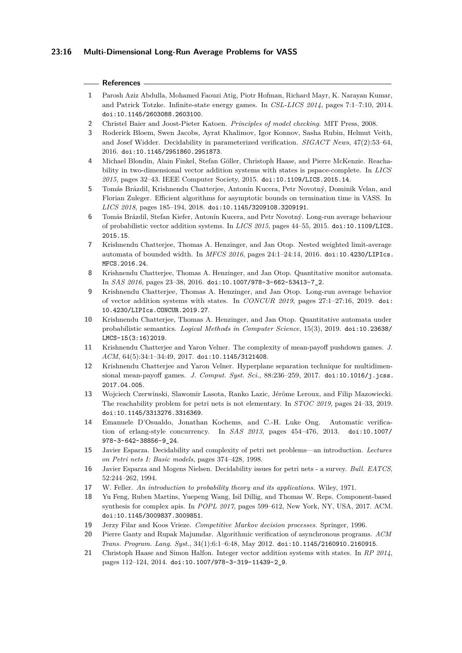## **References**

- <span id="page-15-8"></span>**1** Parosh Aziz Abdulla, Mohamed Faouzi Atig, Piotr Hofman, Richard Mayr, K. Narayan Kumar, and Patrick Totzke. Infinite-state energy games. In *CSL-LICS 2014*, pages 7:1–7:10, 2014. [doi:10.1145/2603088.2603100](https://doi.org/10.1145/2603088.2603100).
- <span id="page-15-18"></span>**2** Christel Baier and Joost-Pieter Katoen. *Principles of model checking*. MIT Press, 2008.
- <span id="page-15-3"></span>**3** Roderick Bloem, Swen Jacobs, Ayrat Khalimov, Igor Konnov, Sasha Rubin, Helmut Veith, and Josef Widder. Decidability in parameterized verification. *SIGACT News*, 47(2):53–64, 2016. [doi:10.1145/2951860.2951873](https://doi.org/10.1145/2951860.2951873).
- <span id="page-15-16"></span>**4** Michael Blondin, Alain Finkel, Stefan Göller, Christoph Haase, and Pierre McKenzie. Reachability in two-dimensional vector addition systems with states is pspace-complete. In *LICS 2015*, pages 32–43. IEEE Computer Society, 2015. [doi:10.1109/LICS.2015.14](https://doi.org/10.1109/LICS.2015.14).
- <span id="page-15-11"></span>**5** Tomás Brázdil, Krishnendu Chatterjee, Antonín Kucera, Petr Novotný, Dominik Velan, and Florian Zuleger. Efficient algorithms for asymptotic bounds on termination time in VASS. In *LICS 2018*, pages 185–194, 2018. [doi:10.1145/3209108.3209191](https://doi.org/10.1145/3209108.3209191).
- <span id="page-15-5"></span>**6** Tomás Brázdil, Stefan Kiefer, Antonín Kucera, and Petr Novotný. Long-run average behaviour of probabilistic vector addition systems. In *LICS 2015*, pages 44–55, 2015. [doi:10.1109/LICS.](https://doi.org/10.1109/LICS.2015.15) [2015.15](https://doi.org/10.1109/LICS.2015.15).
- <span id="page-15-12"></span>**7** Krishnendu Chatterjee, Thomas A. Henzinger, and Jan Otop. Nested weighted limit-average automata of bounded width. In *MFCS 2016*, pages 24:1–24:14, 2016. [doi:10.4230/LIPIcs.](https://doi.org/10.4230/LIPIcs.MFCS.2016.24) [MFCS.2016.24](https://doi.org/10.4230/LIPIcs.MFCS.2016.24).
- <span id="page-15-13"></span>**8** Krishnendu Chatterjee, Thomas A. Henzinger, and Jan Otop. Quantitative monitor automata. In *SAS 2016*, pages 23–38, 2016. [doi:10.1007/978-3-662-53413-7\\_2](https://doi.org/10.1007/978-3-662-53413-7_2).
- <span id="page-15-14"></span>**9** Krishnendu Chatterjee, Thomas A. Henzinger, and Jan Otop. Long-run average behavior of vector addition systems with states. In *CONCUR 2019*, pages 27:1–27:16, 2019. [doi:](https://doi.org/10.4230/LIPIcs.CONCUR.2019.27) [10.4230/LIPIcs.CONCUR.2019.27](https://doi.org/10.4230/LIPIcs.CONCUR.2019.27).
- <span id="page-15-20"></span>**10** Krishnendu Chatterjee, Thomas A. Henzinger, and Jan Otop. Quantitative automata under probabilistic semantics. *Logical Methods in Computer Science*, 15(3), 2019. [doi:10.23638/](https://doi.org/10.23638/LMCS-15(3:16)2019) [LMCS-15\(3:16\)2019](https://doi.org/10.23638/LMCS-15(3:16)2019).
- <span id="page-15-9"></span>**11** Krishnendu Chatterjee and Yaron Velner. The complexity of mean-payoff pushdown games. *J. ACM*, 64(5):34:1–34:49, 2017. [doi:10.1145/3121408](https://doi.org/10.1145/3121408).
- <span id="page-15-10"></span>**12** Krishnendu Chatterjee and Yaron Velner. Hyperplane separation technique for multidimensional mean-payoff games. *J. Comput. Syst. Sci.*, 88:236–259, 2017. [doi:10.1016/j.jcss.](https://doi.org/10.1016/j.jcss.2017.04.005) [2017.04.005](https://doi.org/10.1016/j.jcss.2017.04.005).
- <span id="page-15-7"></span>**13** Wojciech Czerwinski, Slawomir Lasota, Ranko Lazic, Jérôme Leroux, and Filip Mazowiecki. The reachability problem for petri nets is not elementary. In *STOC 2019*, pages 24–33, 2019. [doi:10.1145/3313276.3316369](https://doi.org/10.1145/3313276.3316369).
- <span id="page-15-1"></span>**14** Emanuele D'Osualdo, Jonathan Kochems, and C.-H. Luke Ong. Automatic verification of erlang-style concurrency. In *SAS 2013*, pages 454–476, 2013. [doi:10.1007/](https://doi.org/10.1007/978-3-642-38856-9_24) [978-3-642-38856-9\\_24](https://doi.org/10.1007/978-3-642-38856-9_24).
- <span id="page-15-6"></span>**15** Javier Esparza. Decidability and complexity of petri net problems—an introduction. *Lectures on Petri nets I: Basic models*, pages 374–428, 1998.
- <span id="page-15-0"></span>**16** Javier Esparza and Mogens Nielsen. Decidability issues for petri nets - a survey. *Bull. EATCS*, 52:244–262, 1994.
- <span id="page-15-15"></span>**17** W. Feller. *An introduction to probability theory and its applications*. Wiley, 1971.
- <span id="page-15-4"></span>**18** Yu Feng, Ruben Martins, Yuepeng Wang, Isil Dillig, and Thomas W. Reps. Component-based synthesis for complex apis. In *POPL 2017*, pages 599–612, New York, NY, USA, 2017. ACM. [doi:10.1145/3009837.3009851](https://doi.org/10.1145/3009837.3009851).
- <span id="page-15-19"></span>**19** Jerzy Filar and Koos Vrieze. *Competitive Markov decision processes*. Springer, 1996.
- <span id="page-15-2"></span>**20** Pierre Ganty and Rupak Majumdar. Algorithmic verification of asynchronous programs. *ACM Trans. Program. Lang. Syst.*, 34(1):6:1–6:48, May 2012. [doi:10.1145/2160910.2160915](https://doi.org/10.1145/2160910.2160915).
- <span id="page-15-17"></span>**21** Christoph Haase and Simon Halfon. Integer vector addition systems with states. In *RP 2014*, pages 112–124, 2014. [doi:10.1007/978-3-319-11439-2\\_9](https://doi.org/10.1007/978-3-319-11439-2_9).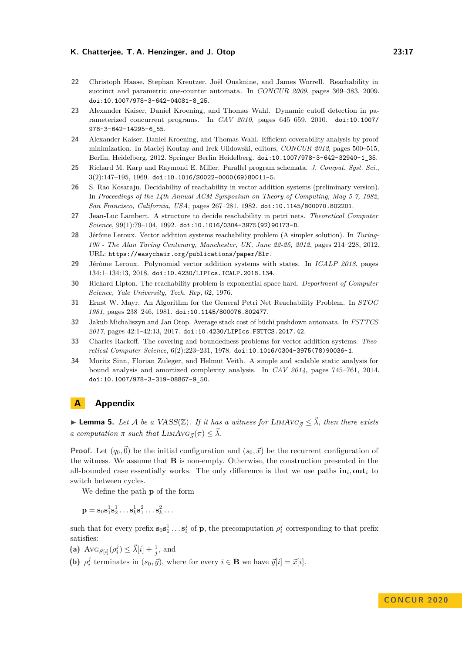- <span id="page-16-12"></span>**22** Christoph Haase, Stephan Kreutzer, Joël Ouaknine, and James Worrell. Reachability in succinct and parametric one-counter automata. In *CONCUR 2009*, pages 369–383, 2009. [doi:10.1007/978-3-642-04081-8\\_25](https://doi.org/10.1007/978-3-642-04081-8_25).
- <span id="page-16-1"></span>**23** Alexander Kaiser, Daniel Kroening, and Thomas Wahl. Dynamic cutoff detection in parameterized concurrent programs. In *CAV 2010*, pages 645–659, 2010. [doi:10.1007/](https://doi.org/10.1007/978-3-642-14295-6_55) [978-3-642-14295-6\\_55](https://doi.org/10.1007/978-3-642-14295-6_55).
- <span id="page-16-2"></span>**24** Alexander Kaiser, Daniel Kroening, and Thomas Wahl. Efficient coverability analysis by proof minimization. In Maciej Koutny and Irek Ulidowski, editors, *CONCUR 2012*, pages 500–515, Berlin, Heidelberg, 2012. Springer Berlin Heidelberg. [doi:10.1007/978-3-642-32940-1\\_35](https://doi.org/10.1007/978-3-642-32940-1_35).
- <span id="page-16-0"></span>**25** Richard M. Karp and Raymond E. Miller. Parallel program schemata. *J. Comput. Syst. Sci.*,  $3(2):147-195, 1969.$ [doi:10.1016/S0022-0000\(69\)80011-5](https://doi.org/10.1016/S0022-0000(69)80011-5).
- <span id="page-16-6"></span>**26** S. Rao Kosaraju. Decidability of reachability in vector addition systems (preliminary version). In *Proceedings of the 14th Annual ACM Symposium on Theory of Computing, May 5-7, 1982, San Francisco, California, USA*, pages 267–281, 1982. [doi:10.1145/800070.802201](https://doi.org/10.1145/800070.802201).
- <span id="page-16-7"></span>**27** Jean-Luc Lambert. A structure to decide reachability in petri nets. *Theoretical Computer Science*, 99(1):79–104, 1992. [doi:10.1016/0304-3975\(92\)90173-D](https://doi.org/10.1016/0304-3975(92)90173-D).
- <span id="page-16-8"></span>**28** Jérôme Leroux. Vector addition systems reachability problem (A simpler solution). In *Turing-100 - The Alan Turing Centenary, Manchester, UK, June 22-25, 2012*, pages 214–228, 2012. URL: <https://easychair.org/publications/paper/Blr>.
- <span id="page-16-11"></span>**29** Jérôme Leroux. Polynomial vector addition systems with states. In *ICALP 2018*, pages 134:1–134:13, 2018. [doi:10.4230/LIPIcs.ICALP.2018.134](https://doi.org/10.4230/LIPIcs.ICALP.2018.134).
- <span id="page-16-4"></span>**30** Richard Lipton. The reachability problem is exponential-space hard. *Department of Computer Science, Yale University, Tech. Rep*, 62, 1976.
- <span id="page-16-9"></span>**31** Ernst W. Mayr. An Algorithm for the General Petri Net Reachability Problem. In *STOC 1981*, pages 238–246, 1981. [doi:10.1145/800076.802477](https://doi.org/10.1145/800076.802477).
- <span id="page-16-10"></span>**32** Jakub Michaliszyn and Jan Otop. Average stack cost of büchi pushdown automata. In *FSTTCS 2017*, pages 42:1–42:13, 2017. [doi:10.4230/LIPIcs.FSTTCS.2017.42](https://doi.org/10.4230/LIPIcs.FSTTCS.2017.42).
- <span id="page-16-5"></span>**33** Charles Rackoff. The covering and boundedness problems for vector addition systems. *Theoretical Computer Science*, 6(2):223–231, 1978. [doi:10.1016/0304-3975\(78\)90036-1](https://doi.org/10.1016/0304-3975(78)90036-1).
- <span id="page-16-3"></span>**34** Moritz Sinn, Florian Zuleger, and Helmut Veith. A simple and scalable static analysis for bound analysis and amortized complexity analysis. In *CAV 2014*, pages 745–761, 2014. [doi:10.1007/978-3-319-08867-9\\_50](https://doi.org/10.1007/978-3-319-08867-9_50).

# **A Appendix**

**Lemma 5.** Let A be a VASS( $\mathbb{Z}$ ). If it has a witness for LIMAVG<sub> $\vec{S} \leq \vec{\lambda}$ , then there exists</sub> *a computation*  $\pi$  *such that*  $\text{LIMAVG}_{\vec{S}}(\pi) \leq \vec{\lambda}$ .

**Proof.** Let  $(q_0, \vec{0})$  be the initial configuration and  $(s_0, \vec{x})$  be the recurrent configuration of the witness. We assume that **B** is non-empty. Otherwise, the construction presented in the all-bounded case essentially works. The only difference is that we use paths  $\mathbf{in}_i$ , out<sub>*i*</sub> to switch between cycles.

We define the path **p** of the form

 ${\bf p}={\bf s}_0{\bf s}_1^1{\bf s}_2^1\ldots{\bf s}_k^1{\bf s}_1^2\ldots{\bf s}_k^2\ldots$ 

such that for every prefix  $\mathbf{s}_0 \mathbf{s}_1^1 \dots \mathbf{s}_i^j$  of **p**, the precomputation  $\rho_i^j$  corresponding to that prefix satisfies:

- (a)  $\text{Avg}_{S[i]}(\rho_i^j) \leq \vec{\lambda}[i] + \frac{1}{j}, \text{ and}$
- **(b)**  $\rho_i^j$  terminates in  $(s_0, \vec{y})$ , where for every  $i \in \mathbf{B}$  we have  $\vec{y}[i] = \vec{x}[i]$ .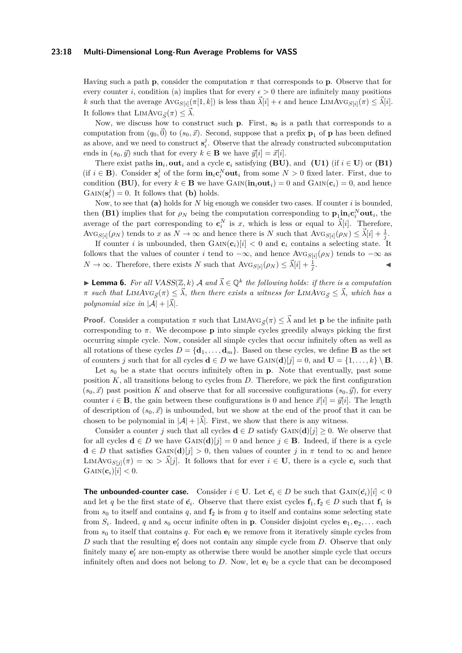#### **23:18 Multi-Dimensional Long-Run Average Problems for VASS**

Having such a path **p**, consider the computation *π* that corresponds to **p**. Observe that for every counter *i*, condition (a) implies that for every  $\epsilon > 0$  there are infinitely many positions *k* such that the average  $\text{Avg}_{S[i]}(\pi[1,k])$  is less than  $\vec{\lambda}[i] + \epsilon$  and hence  $\text{LIMAVG}_{S[i]}(\pi) \leq \vec{\lambda}[i]$ . It follows that  $\text{LIMAVG}_{\vec{S}}(\pi) \leq \vec{\lambda}$ .

Now, we discuss how to construct such  $\bf{p}$ . First,  $\bf{s}_0$  is a path that corresponds to a computation from  $(q_0, \vec{0})$  to  $(s_0, \vec{x})$ . Second, suppose that a prefix  $\mathbf{p}_1$  of **p** has been defined as above, and we need to construct  $\mathbf{s}_i^j$ . Observe that the already constructed subcomputation ends in  $(s_0, \vec{y})$  such that for every  $k \in \mathbf{B}$  we have  $\vec{y}[i] = \vec{x}[i].$ 

There exist paths  $\textbf{in}_i$ , out<sub>*i*</sub> and a cycle  $\textbf{c}_i$  satisfying (BU), and [\(U1\)](#page-6-0) (if  $i \in U$ ) or [\(B1\)](#page-6-0) (if  $i \in \mathbf{B}$ ). Consider  $\mathbf{s}_i^j$  of the form  $\mathbf{in}_i \mathbf{c}_i^N \mathbf{out}_i$  from some  $N > 0$  fixed later. First, due to condition **(BU)**, for every  $k \in \mathbf{B}$  we have  $\text{GAN}(\mathbf{in}_i \text{out}_i) = 0$  and  $\text{GAN}(\mathbf{c}_i) = 0$ , and hence  $\text{GAN}(\mathbf{s}_i^j) = 0$ . It follows that **(b)** holds.

Now, to see that **(a)** holds for *N* big enough we consider two cases. If counter *i* is bounded, then **[\(B1\)](#page-6-0)** implies that for  $\rho_N$  being the computation corresponding to  $\mathbf{p}_1 \text{in}_i \mathbf{c}_i^N \text{out}_i$ , the average of the part corresponding to  $\mathbf{c}_i^N$  is *x*, which is less or equal to  $\vec{\lambda}[i]$ . Therefore,  $\text{Avg}_{S[i]}(\rho_N)$  tends to *x* as  $N \to \infty$  and hence there is *N* such that  $\text{Avg}_{S[i]}(\rho_N) \leq \vec{\lambda}[i] + \frac{1}{j}$ .

If counter *i* is unbounded, then  $\text{GAN}(\mathbf{c}_i)[i] < 0$  and  $\mathbf{c}_i$  contains a selecting state. It follows that the values of counter *i* tend to  $-\infty$ , and hence Av $G_{S[i]}(\rho_N)$  tends to  $-\infty$  as  $N \to \infty$ . Therefore, there exists *N* such that  $\text{AVG}_{S[i]}(\rho_N) \leq \vec{\lambda}[i] + \frac{1}{j}$ . John J. J. J. J.

**Lemma 6.** For all  $VASS(\mathbb{Z}, k)$  A and  $\vec{\lambda} \in \mathbb{Q}^k$  the following holds: if there is a computation  $\pi$  *such that*  $\text{LIMAVG}_{\vec{S}}(\pi) \leq \vec{\lambda}$ , then there exists a witness for  $\text{LIMAVG}_{\vec{S}} \leq \vec{\lambda}$ , which has a *polynomial size in*  $|\mathcal{A}| + |\vec{\lambda}|$ *.* 

**Proof.** Consider a computation  $\pi$  such that LIMAVG<sub> $\vec{s}(\pi) \leq \vec{\lambda}$  and let **p** be the infinite path</sub> corresponding to *π*. We decompose **p** into simple cycles greedily always picking the first occurring simple cycle. Now, consider all simple cycles that occur infinitely often as well as all rotations of these cycles  $D = {\bf{d}_1, \ldots, \bf{d}_m}$ . Based on these cycles, we define **B** as the set of counters *j* such that for all cycles  $\mathbf{d} \in D$  we have  $\text{GAN}(\mathbf{d})[j] = 0$ , and  $\mathbf{U} = \{1, \ldots, k\} \setminus \mathbf{B}$ .

Let  $s_0$  be a state that occurs infinitely often in **p**. Note that eventually, past some position  $K$ , all transitions belong to cycles from  $D$ . Therefore, we pick the first configuration  $(s_0, \vec{x})$  past position *K* and observe that for all successive configurations  $(s_0, \vec{y})$ , for every counter  $i \in \mathbf{B}$ , the gain between these configurations is 0 and hence  $\vec{x}[i] = \vec{y}[i]$ . The length of description of  $(s_0, \vec{x})$  is unbounded, but we show at the end of the proof that it can be chosen to be polynomial in  $|\mathcal{A}| + |\vec{\lambda}|$ . First, we show that there is any witness.

Consider a counter *j* such that all cycles  $\mathbf{d} \in D$  satisfy  $\text{GAN}(\mathbf{d})[j] \geq 0$ . We observe that for all cycles  $\mathbf{d} \in D$  we have  $\text{GAN}(\mathbf{d})[j] = 0$  and hence  $j \in \mathbf{B}$ . Indeed, if there is a cycle  $\mathbf{d} \in D$  that satisfies GAIN( $\mathbf{d}$ )[*j*] > 0, then values of counter *j* in  $\pi$  tend to  $\infty$  and hence LIMAVG<sub>S[*j*</sub>]( $\pi$ ) = ∞ >  $\vec{\lambda}$ [*j*]. It follows that for ever *i* ∈ **U**, there is a cycle **c**<sub>*i*</sub> such that  $\text{GAN}(\mathbf{c}_i)[i] < 0.$ 

**The unbounded-counter case.** Consider  $i \in U$ . Let  $\tilde{c}_i \in D$  be such that  $G \text{AIN}(\tilde{c}_i)[i] < 0$ and let *q* be the first state of  $\tilde{\mathbf{c}}_i$ . Observe that there exist cycles  $\mathbf{f}_1, \mathbf{f}_2 \in D$  such that  $\mathbf{f}_1$  is from  $s_0$  to itself and contains  $q$ , and  $f_2$  is from  $q$  to itself and contains some selecting state from  $S_i$ . Indeed, *q* and  $s_0$  occur infinite often in **p**. Consider disjoint cycles  $e_1, e_2, \ldots$  each from  $s_0$  to itself that contains q. For each  $e_l$  we remove from it iteratively simple cycles from  $D$  such that the resulting  $e'$ <sub>l</sub> does not contain any simple cycle from  $D$ . Observe that only finitely many  $\mathbf{e}'_l$  are non-empty as otherwise there would be another simple cycle that occurs infinitely often and does not belong to  $D$ . Now, let  $e_l$  be a cycle that can be decomposed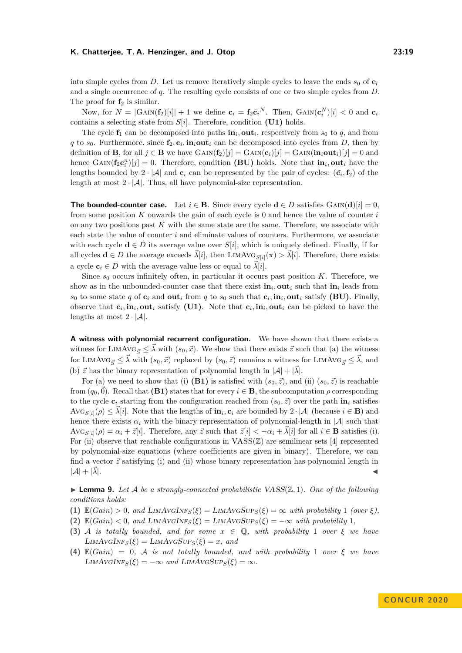Now, for  $N = |G \text{AIN}(\mathbf{f}_2)[i]| + 1$  we define  $\mathbf{c}_i = \mathbf{f}_2 \tilde{\mathbf{c}}_i^N$ . Then,  $G \text{AIN}(\mathbf{c}_i^N)[i] < 0$  and  $\mathbf{c}_i$ contains a selecting state from *S*[*i*]. Therefore, condition **[\(U1\)](#page-6-0)** holds.

The cycle  $f_1$  can be decomposed into paths  $\mathbf{in}_i$ , out<sub>i</sub>, respectively from  $s_0$  to  $q$ , and from *q* to  $s_0$ . Furthermore, since  $f_2$ ,  $c_i$ ,  $\text{in}_i \text{out}_i$  can be decomposed into cycles from *D*, then by definition of **B**, for all  $j \in \mathbf{B}$  we have  $\text{GAN}(\mathbf{f}_2)[j] = \text{GAN}(\mathbf{c}_i)[j] = \text{GAN}(\mathbf{in}_i \text{out}_i)[j] = 0$  and hence  $\text{GAN}(\mathbf{f}_2 \mathbf{c}_i^n)[j] = 0$ . Therefore, condition (BU) holds. Note that  $\text{in}_i, \text{out}_i$  have the lengths bounded by  $2 \cdot |\mathcal{A}|$  and  $\mathbf{c}_i$  can be represented by the pair of cycles:  $(\tilde{\mathbf{c}}_i, \mathbf{f}_2)$  of the length at most  $2 \cdot |\mathcal{A}|$ . Thus, all have polynomial-size representation.

**The bounded-counter case.** Let  $i \in \mathbf{B}$ . Since every cycle  $\mathbf{d} \in D$  satisfies GAIN( $\mathbf{d}[i] = 0$ , from some position *K* onwards the gain of each cycle is 0 and hence the value of counter *i* on any two positions past  $K$  with the same state are the same. Therefore, we associate with each state the value of counter *i* and eliminate values of counters. Furthermore, we associate with each cycle  $\mathbf{d} \in D$  its average value over  $S[i]$ , which is uniquely defined. Finally, if for all cycles  $\mathbf{d} \in D$  the average exceeds  $\tilde{\lambda}[i]$ , then LIMAVG<sub>S[*i*i</sub>]( $\pi$ ) >  $\tilde{\lambda}[i]$ . Therefore, there exists a cycle  $c_i \in D$  with the average value less or equal to  $\vec{\lambda}[i]$ .

Since  $s_0$  occurs infinitely often, in particular it occurs past position  $K$ . Therefore, we show as in the unbounded-counter case that there exist  $\mathbf{in}_i$ , out<sub>*i*</sub> such that  $\mathbf{in}_i$  leads from *s*<sub>0</sub> to some state *q* of **c**<sub>*i*</sub> and **out**<sub>*i*</sub> from *q* to *s*<sub>0</sub> such that **c**<sub>*i*</sub>, **in**<sub>*i*</sub>, **out**<sub>*i*</sub> satisfy (BU). Finally, observe that  $c_i$ ,  $\text{in}_i$ ,  $\text{out}_i$  satisfy [\(U1\)](#page-6-0). Note that  $c_i$ ,  $\text{in}_i$ ,  $\text{out}_i$  can be picked to have the lengths at most  $2 \cdot |\mathcal{A}|$ .

**A witness with polynomial recurrent configuration.** We have shown that there exists a witness for LIMAVG<sub> $\vec{s} \leq \vec{\lambda}$  with  $(s_0, \vec{x})$ . We show that there exists  $\vec{z}$  such that (a) the witness</sub> for LIMAVG<sub> $\vec{s} \leq \vec{\lambda}$  with  $(s_0, \vec{x})$  replaced by  $(s_0, \vec{z})$  remains a witness for LIMAVG<sub> $\vec{s} \leq \vec{\lambda}$ , and</sub></sub> (b)  $\vec{z}$  has the binary representation of polynomial length in  $|\mathcal{A}| + |\vec{\lambda}|$ .

For (a) we need to show that (i) **[\(B1\)](#page-6-0)** is satisfied with  $(s_0, \vec{z})$ , and (ii)  $(s_0, \vec{z})$  is reachable from  $(q_0, \vec{0})$ . Recall that **[\(B1\)](#page-6-0)** states that for every  $i \in \mathbf{B}$ , the subcomputation  $\rho$  corresponding to the cycle  $\mathbf{c}_i$  starting from the configuration reached from  $(s_0, \vec{z})$  over the path  $\mathbf{in}_i$  satisfies  $\text{Avg}_{S[i]}(\rho) \leq \vec{\lambda}[i]$ . Note that the lengths of  $\textbf{in}_i, \textbf{c}_i$  are bounded by  $2 \cdot |\mathcal{A}|$  (because  $i \in \mathbf{B}$ ) and hence there exists  $\alpha_i$  with the binary representation of polynomial-length in  $|\mathcal{A}|$  such that  $\text{AVG}_{S[i]}(\rho) = \alpha_i + \bar{z}[i]$ . Therefore, any  $\bar{z}$  such that  $\bar{z}[i] < -\alpha_i + \bar{\lambda}[i]$  for all  $i \in \mathbf{B}$  satisfies (i). For (ii) observe that reachable configurations in  $VASS(\mathbb{Z})$  are semilinear sets [\[4\]](#page-15-16) represented by polynomial-size equations (where coefficients are given in binary). Therefore, we can find a vector  $\vec{z}$  satisfying (i) and (ii) whose binary representation has polynomial length in  $|\mathcal{A}| + |\mathcal{A}|$ . *~λ*|. J

 $\blacktriangleright$  **Lemma 9.** Let A be a strongly-connected probabilistic VASS( $\mathbb{Z}, 1$ ). One of the following *conditions holds:*

- **(1)**  $\mathbb{E}(Gain) > 0$ , and  $\text{LIMAVGINF}_{S}(\xi) = \text{LIMAVGSUP}_{S}(\xi) = \infty$  with probability 1 *(over*  $\xi$ *)*,
- (2)  $\mathbb{E}(Gain) < 0$ *, and*  $\text{LIMAVGINF}_{S}(\xi) = \text{LIMAVGSUP}_{S}(\xi) = -\infty$  with probability 1*,*
- **(3)** A *is totally bounded, and for some*  $x \in \mathbb{Q}$ , with probability 1 *over*  $\xi$  *we have*  $LIMAVGINF<sub>S</sub>(\xi) = LIMAVGSUP<sub>S</sub>(\xi) = x$ *, and*
- **(4)** E(*Gain*) = 0*,* A *is not totally bounded, and with probability* 1 *over ξ we have*  $LIMAVGINF<sub>S</sub>(\xi) = -\infty$  *and*  $LIMAVGSUP<sub>S</sub>(\xi) = \infty$ *.*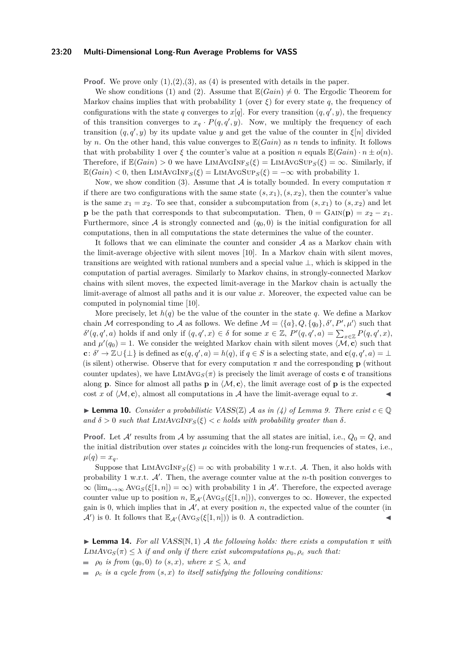### **23:20 Multi-Dimensional Long-Run Average Problems for VASS**

**Proof.** We prove only  $(1),(2),(3)$ , as  $(4)$  is presented with details in the paper.

We show conditions (1) and (2). Assume that  $\mathbb{E}(Gain) \neq 0$ . The Ergodic Theorem for Markov chains implies that with probability 1 (over  $\xi$ ) for every state q, the frequency of configurations with the state *q* converges to  $x[q]$ . For every transition  $(q, q', y)$ , the frequency of this transition converges to  $x_q \cdot P(q, q', y)$ . Now, we multiply the frequency of each transition  $(q, q', y)$  by its update value *y* and get the value of the counter in  $\xi[n]$  divided by *n*. On the other hand, this value converges to E(*Gain*) as *n* tends to infinity. It follows that with probability 1 over  $\xi$  the counter's value at a position *n* equals  $\mathbb{E}(Gain) \cdot n \pm o(n)$ . Therefore, if  $\mathbb{E}(Gain) > 0$  we have  $\text{LIMAVGINF}_{S}(\xi) = \text{LIMAVGSUP}_{S}(\xi) = \infty$ . Similarly, if  $\mathbb{E}(Gain) < 0$ , then  $\text{LIMAVGINF}_{S}(\xi) = \text{LIMAVGSup}_{S}(\xi) = -\infty$  with probability 1.

Now, we show condition (3). Assume that A is totally bounded. In every computation *π* if there are two configurations with the same state  $(s, x_1), (s, x_2)$ , then the counter's value is the same  $x_1 = x_2$ . To see that, consider a subcomputation from  $(s, x_1)$  to  $(s, x_2)$  and let **p** be the path that corresponds to that subcomputation. Then,  $0 = \text{GAN}(\mathbf{p}) = x_2 - x_1$ . Furthermore, since  $A$  is strongly connected and  $(q_0, 0)$  is the initial configuration for all computations, then in all computations the state determines the value of the counter.

It follows that we can eliminate the counter and consider  $A$  as a Markov chain with the limit-average objective with silent moves [\[10\]](#page-15-20). In a Markov chain with silent moves, transitions are weighted with rational numbers and a special value ⊥, which is skipped in the computation of partial averages. Similarly to Markov chains, in strongly-connected Markov chains with silent moves, the expected limit-average in the Markov chain is actually the limit-average of almost all paths and it is our value *x*. Moreover, the expected value can be computed in polynomial time [\[10\]](#page-15-20).

More precisely, let  $h(q)$  be the value of the counter in the state q. We define a Markov chain M corresponding to A as follows. We define  $\mathcal{M} = \langle \{a\}, Q, \{q_0\}, \delta', P', \mu' \rangle$  such that  $\delta'(q, q', a)$  holds if and only if  $(q, q', x) \in \delta$  for some  $x \in \mathbb{Z}$ ,  $P'(q, q', a) = \sum_{x \in \mathbb{Z}} P(q, q', x)$ , and  $\mu'(q_0) = 1$ . We consider the weighted Markov chain with silent moves  $\langle \mathcal{M}, \mathbf{c} \rangle$  such that **c**:  $\delta' \to \mathbb{Z} \cup \{\perp\}$  is defined as  $\mathbf{c}(q, q', a) = h(q)$ , if  $q \in S$  is a selecting state, and  $\mathbf{c}(q, q', a) = \perp$ (is silent) otherwise. Observe that for every computation  $\pi$  and the corresponding **p** (without counter updates), we have  $\text{LimAVG}_{S}(\pi)$  is precisely the limit average of costs **c** of transitions along **p**. Since for almost all paths **p** in  $\langle \mathcal{M}, \mathbf{c} \rangle$ , the limit average cost of **p** is the expected cost x of  $\langle \mathcal{M}, \mathbf{c} \rangle$ , almost all computations in A have the limit-average equal to x.

► **Lemma 10.** *Consider a probabilistic VASS(* $\mathbb{Z}$ *) A as in (4) of Lemma [9.](#page-10-0) There exist*  $c \in \mathbb{Q}$  $\alpha$  *and*  $\delta > 0$  *such that* LIMAVGINF<sub>*S*</sub>( $\xi$ ) < *c holds with probability greater than*  $\delta$ *.* 

**Proof.** Let  $\mathcal{A}'$  results from  $\mathcal{A}$  by assuming that the all states are initial, i.e.,  $Q_0 = Q$ , and the initial distribution over states  $\mu$  coincides with the long-run frequencies of states, i.e.,  $\mu(q) = x_q$ .

Suppose that  $\text{LimAvgInt}_{S}(\xi) = \infty$  with probability 1 w.r.t. A. Then, it also holds with probability 1 w.r.t.  $A'$ . Then, the average counter value at the *n*-th position converges to  $\infty$  (lim<sub>n→∞</sub> AvG<sub>S</sub>( $\xi$ [1, n]) =  $\infty$ ) with probability 1 in A'. Therefore, the expected average counter value up to position *n*,  $\mathbb{E}_{A'}(\text{AVG}_S(\xi[1,n]))$ , converges to  $\infty$ . However, the expected gain is 0, which implies that in  $\mathcal{A}'$ , at every position *n*, the expected value of the counter (in  $\mathcal{A}'$ ) is 0. It follows that  $\mathbb{E}_{\mathcal{A}'}(\text{Avg}_S(\xi[1,n]))$  is 0. A contradiction.

**Lemma 14.** For all VASS( $\mathbb{N}, 1$ ) A the following holds: there exists a computation  $\pi$  with LIMAV $G_S(\pi) \leq \lambda$  *if and only if there exist subcomputations*  $\rho_0, \rho_c$  *such that:* 

 $\rho_0$  *is from*  $(q_0, 0)$  *to*  $(s, x)$ *, where*  $x \leq \lambda$ *, and* 

 $\rho_c$  *is a cycle from*  $(s, x)$  *to itself satisfying the following conditions:*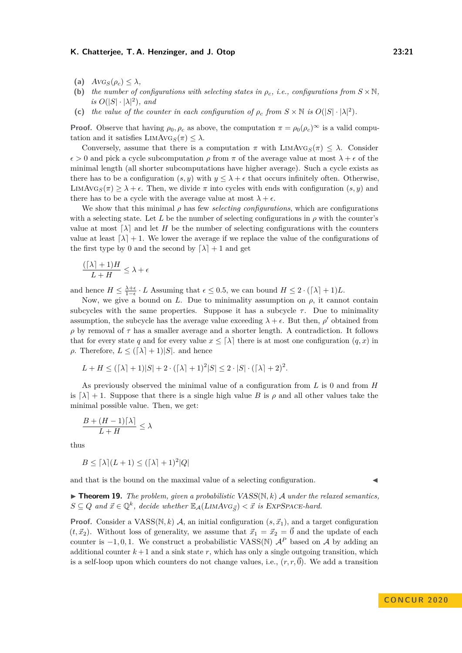- (a)  $AVG_S(\rho_c) \leq \lambda$ ,
- **(b)** *the number of configurations with selecting states in*  $\rho_c$ , *i.e., configurations from*  $S \times \mathbb{N}$ *, is*  $O(|S| \cdot |\lambda|^2)$ *, and*
- (c) *the value of the counter in each configuration of*  $\rho_c$  *from*  $S \times \mathbb{N}$  *is*  $O(|S| \cdot |\lambda|^2)$ *.*

**Proof.** Observe that having  $\rho_0$ ,  $\rho_c$  as above, the computation  $\pi = \rho_0(\rho_c)^\infty$  is a valid computation and it satisfies  $\text{LIMAVG}_{S}(\pi) \leq \lambda$ .

Conversely, assume that there is a computation  $\pi$  with  $\text{LIMAVG}_{S}(\pi) \leq \lambda$ . Consider  $\epsilon > 0$  and pick a cycle subcomputation  $\rho$  from  $\pi$  of the average value at most  $\lambda + \epsilon$  of the minimal length (all shorter subcomputations have higher average). Such a cycle exists as there has to be a configuration  $(s, y)$  with  $y \leq \lambda + \epsilon$  that occurs infinitely often. Otherwise, LIMAVG<sub>S</sub> $(\pi) \geq \lambda + \epsilon$ . Then, we divide  $\pi$  into cycles with ends with configuration  $(s, y)$  and there has to be a cycle with the average value at most  $\lambda + \epsilon$ .

We show that this minimal  $\rho$  has few *selecting configurations*, which are configurations with a selecting state. Let *L* be the number of selecting configurations in  $\rho$  with the counter's value at most  $\lambda$  and let *H* be the number of selecting configurations with the counters value at least  $\lceil \lambda \rceil + 1$ . We lower the average if we replace the value of the configurations of the first type by 0 and the second by  $\lceil \lambda \rceil + 1$  and get

$$
\frac{(\lceil \lambda \rceil + 1)H}{L+H} \le \lambda + \epsilon
$$

and hence  $H \leq \frac{\lambda + \epsilon}{1 - \epsilon} \cdot L$  Assuming that  $\epsilon \leq 0.5$ , we can bound  $H \leq 2 \cdot (\lceil \lambda \rceil + 1)L$ .

Now, we give a bound on *L*. Due to minimality assumption on  $\rho$ , it cannot contain subcycles with the same properties. Suppose it has a subcycle  $\tau$ . Due to minimality assumption, the subcycle has the average value exceeding  $\lambda + \epsilon$ . But then,  $\rho'$  obtained from  $ρ$  by removal of  $τ$  has a smaller average and a shorter length. A contradiction. It follows that for every state *q* and for every value  $x \leq \lceil \lambda \rceil$  there is at most one configuration  $(q, x)$  in *ρ*. Therefore,  $L \leq (\lceil \lambda \rceil + 1)|S|$ . and hence

$$
L + H \leq ([\lambda] + 1)|S| + 2 \cdot ([\lambda] + 1)^2 |S| \leq 2 \cdot |S| \cdot ([\lambda] + 2)^2.
$$

As previously observed the minimal value of a configuration from *L* is 0 and from *H* is  $\lceil \lambda \rceil + 1$ . Suppose that there is a single high value *B* is  $\rho$  and all other values take the minimal possible value. Then, we get:

$$
\frac{B + (H - 1)\lceil \lambda \rceil}{L + H} \le \lambda
$$

thus

$$
B \leq \lceil \lambda \rceil (L+1) \leq (\lceil \lambda \rceil + 1)^2 |Q|
$$

and that is the bound on the maximal value of a selecting configuration.

 $\blacktriangleright$  **Theorem 19.** *The problem, given a probabilistic VASS(N, k) A under the relaxed semantics,*  $S \subseteq Q$  and  $\vec{x} \in \mathbb{Q}^k$ , decide whether  $\mathbb{E}_{\mathcal{A}}(LIMAVG_{\vec{S}}) < \vec{x}$  is EXPSPACE-hard.

**Proof.** Consider a VASS( $\mathbb{N}, k$ ) A, an initial configuration  $(s, \vec{x}_1)$ , and a target configuration  $(t, \vec{x}_2)$ . Without loss of generality, we assume that  $\vec{x}_1 = \vec{x}_2 = \vec{0}$  and the update of each counter is  $-1, 0, 1$ . We construct a probabilistic VASS(N)  $A^P$  based on A by adding an additional counter  $k+1$  and a sink state  $r$ , which has only a single outgoing transition, which is a self-loop upon which counters do not change values, i.e.,  $(r, r, \vec{0})$ . We add a transition

**CON C U R 2 0 2 0**